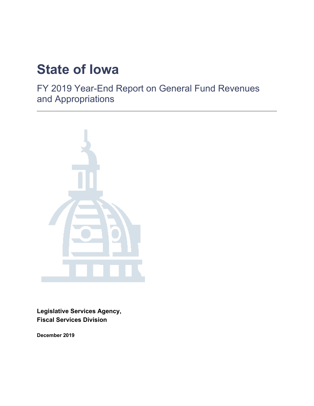# **State of Iowa**

FY 2019 Year-End Report on General Fund Revenues and Appropriations



**Legislative Services Agency, Fiscal Services Division**

**December 2019**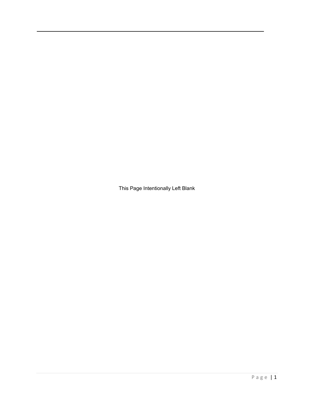This Page Intentionally Left Blank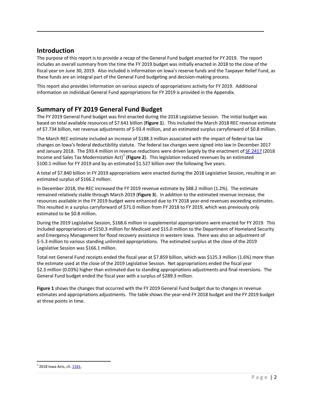# **Introduction**

The purpose of this report is to provide a recap of the General Fund budget enacted for FY 2019. The report includes an overall summary from the time the FY 2019 budget was initially enacted in 2018 to the close of the fiscal year on June 30, 2019. Also included is information on Iowa's reserve funds and the Taxpayer Relief Fund, as these funds are an integral part of the General Fund budgeting and decision-making process.

This report also provides information on various aspects of appropriations activity for FY 2019. Additional information on individual General Fund appropriations for FY 2019 is provided in the Appendix.

# **Summary of FY 2019 General Fund Budget**

The FY 2019 General Fund budget was first enacted during the 2018 Legislative Session. The initial budget was based on total available resources of \$7.641 billion (**Figure 1**). This included the March 2018 REC revenue estimate of \$7.734 billion, net revenue adjustments of \$-93.4 million, and an estimated surplus carryforward of \$0.8 million.

The March REC estimate included an increase of \$188.3 million associated with the impact of federal tax law changes on Iowa's federal deductibility statute. The federal tax changes were signed into law in December 2017 and January 2018. The \$93.4 million in revenue reductions were driven largely by the enactment of SF [2417](https://www.legis.iowa.gov/docs/publications/iactc/87.2/CH1161.pdf) (2018 Income and Sales Tax Modernization Act)[1](#page-2-0) (**Figure 2**). This legislation reduced revenues by an estimated \$100.1 million for FY 2019 and by an estimated \$1.527 billion over the following five years.

A total of \$7.840 billion in FY 2019 appropriations were enacted during the 2018 Legislative Session, resulting in an estimated surplus of \$166.2 million.

In December 2018, the REC increased the FY 2019 revenue estimate by \$88.2 million (1.2%). The estimate remained relatively stable through March 2019 (**Figure 3**). In addition to the estimated revenue increase, the resources available in the FY 2019 budget were enhanced due to FY 2018 year-end revenues exceeding estimates. This resulted in a surplus carryforward of \$71.0 million from FY 2018 to FY 2019, which was previously only estimated to be \$0.8 million.

During the 2019 Legislative Session, \$168.6 million in supplemental appropriations were enacted for FY 2019. This included appropriations of \$150.3 million for Medicaid and \$15.0 million to the Department of Homeland Security and Emergency Management for flood recovery assistance in western Iowa. There was also an adjustment of \$-5.3 million to various standing unlimited appropriations. The estimated surplus at the close of the 2019 Legislative Session was \$166.1 million.

Total net General Fund receipts ended the fiscal year at \$7.859 billion, which was \$125.3 million (1.6%) more than the estimate used at the close of the 2019 Legislative Session. Net appropriations ended the fiscal year \$2.3 million (0.03%) higher than estimated due to standing appropriations adjustments and final reversions. The General Fund budget ended the fiscal year with a surplus of \$289.3 million.

**Figure 1** shows the changes that occurred with the FY 2019 General Fund budget due to changes in revenue estimates and appropriations adjustments. The table shows the year-end FY 2018 budget and the FY 2019 budget at three points in time.

 $\overline{a}$ 

<span id="page-2-0"></span> $1$  2018 Iowa Acts, ch.  $1161$ .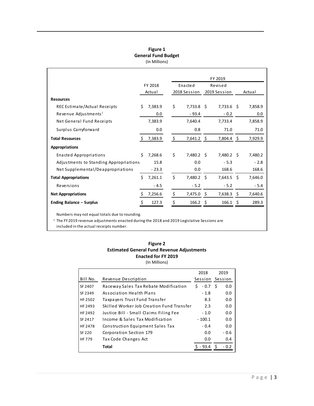## **Figure 1 General Fund Budget** (In Millions)

|                                        |    |         |    |                 |      | FY 2019         |     |         |
|----------------------------------------|----|---------|----|-----------------|------|-----------------|-----|---------|
|                                        |    |         |    |                 |      |                 |     |         |
|                                        |    | FY 2018 |    | Enacted         |      | Revised         |     |         |
|                                        |    | Actual  |    | 2018 Session    |      | 2019 Session    |     | Actual  |
| <b>Resources</b>                       |    |         |    |                 |      |                 |     |         |
| REC Estimate/Actual Receipts           | Ś. | 7,383.9 | \$ | 7,733.8 \$      |      | 7,733.6 \$      |     | 7,858.9 |
| Revenue Adjustments <sup>1</sup>       |    | 0.0     |    | $-93.4$         |      | $-0.2$          |     | 0.0     |
| Net General Fund Receipts              |    | 7,383.9 |    | 7,640.4         |      | 7,733.4         |     | 7,858.9 |
| Surplus Carryforward                   |    | 0.0     |    | 0.8             |      | 71.0            |     | 71.0    |
| <b>Total Resources</b>                 | Ŝ. | 7,383.9 | \$ | 7,641.2         | - \$ | 7,804.4 \$      |     | 7,929.9 |
| Appropriations                         |    |         |    |                 |      |                 |     |         |
| Enacted Appropriations                 | Ś. | 7,268.6 | \$ | 7,480.2 \$      |      | 7,480.2 \$      |     | 7,480.2 |
| Adjustments to Standing Appropriations |    | 15.8    |    | 0.0             |      | $-5.3$          |     | $-2.8$  |
| Net Supplemental/Deappropriations      |    | $-23.3$ |    | 0.0             |      | 168.6           |     | 168.6   |
| <b>Total Appropriations</b>            | Ś  | 7,261.1 | \$ | 7,480.2 \$      |      | $7,643.5$ \$    |     | 7,646.0 |
| Reversions                             |    | $-4.5$  |    | $-5.2$          |      | $-5.2$          |     | $-5.4$  |
| <b>Net Appropriations</b>              | Ś  | 7,256.6 | \$ | 7,475.0         | \$.  | 7,638.3         | \$. | 7,640.6 |
| <b>Ending Balance - Surplus</b>        |    | 127.3   | \$ | $166.2 \quad $$ |      | $166.1 \quad $$ |     | 289.3   |
|                                        |    |         |    |                 |      |                 |     |         |

Numbers may not equal totals due to rounding.

1 The FY 2019 revenue adjustments enacted during the 2018 and 2019 Legislative Sessions are included in the actual receipts number.

#### **Figure 2 Estimated General Fund Revenue Adjustments Enacted for FY 2019** (In Millions)

|              |                                           |    | 2018       |    | 2019            |
|--------------|-------------------------------------------|----|------------|----|-----------------|
| Bill No.     | Revenue Description                       |    |            |    | Session Session |
| SF 2407      | Raceway Sales Tax Rebate Modification     | Ś. | $-0.7$ \$  |    | 0.0             |
| SF 2349      | Association Health Plans                  |    | $-1.8$     |    | 0.0             |
| HF 2502      | Taxpayers Trust Fund Transfer             |    | 8.3        |    | 0.0             |
| HF 2493      | Skilled Worker Job Creation Fund Transfer |    | 2.3        |    | 0.0             |
| HF 2492      | Justice Bill - Small Claims Filing Fee    |    | $-1.0$     |    | 0.0             |
| SF 2417      | Income & Sales Tax Modification           |    | $-100.1$   |    | 0.0             |
| HF 2478      | Construction Equipment Sales Tax          |    | $-0.4$     |    | 0.0             |
| SF 220       | Corporation Section 179                   |    | 0.0        |    | $-0.6$          |
| <b>HF779</b> | Tax Code Changes Act                      |    | 0.0        |    | 0.4             |
|              | Total                                     |    | $S - 93.4$ | -Ŝ | $-0.2$          |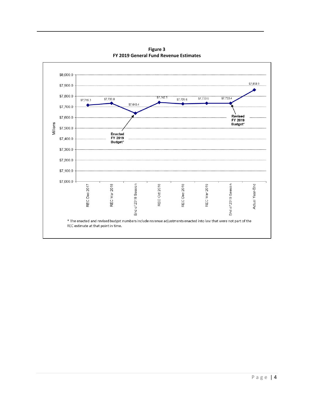

**Figure 3 FY 2019 General Fund Revenue Estimates**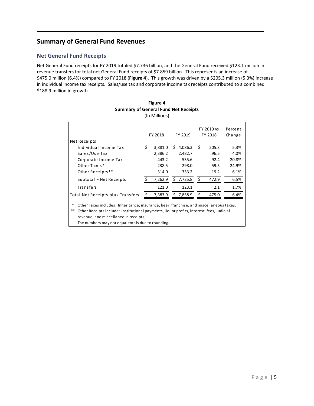# **Summary of General Fund Revenues**

## **Net General Fund Receipts**

Net General Fund receipts for FY 2019 totaled \$7.736 billion, and the General Fund received \$123.1 million in revenue transfers for total net General Fund receipts of \$7.859 billion. This represents an increase of \$475.0 million (6.4%) compared to FY 2018 (**Figure 4**). This growth was driven by a \$205.3 million (5.3%) increase in individual income tax receipts. Sales/use tax and corporate income tax receipts contributed to a combined \$188.9 million in growth.

|                                                                                                                                                                                                                                        |   | $\left  \right $ $\left  \right $ |    |           |     |                       |                   |  |
|----------------------------------------------------------------------------------------------------------------------------------------------------------------------------------------------------------------------------------------|---|-----------------------------------|----|-----------|-----|-----------------------|-------------------|--|
|                                                                                                                                                                                                                                        |   | FY 2018                           |    | FY 2019   |     | FY 2019 vs<br>FY 2018 | Percent<br>Change |  |
| Net Receipts                                                                                                                                                                                                                           |   |                                   |    |           |     |                       |                   |  |
| Individual Income Tax                                                                                                                                                                                                                  | Ś | 3,881.0                           | S. | 4,086.3   | Ŝ.  | 205.3                 | 5.3%              |  |
| Sales/Use Tax                                                                                                                                                                                                                          |   | 2,386.2                           |    | 2,482.7   |     | 96.5                  | 4.0%              |  |
| Corporate Income Tax                                                                                                                                                                                                                   |   | 443.2                             |    | 535.6     |     | 92.4                  | 20.8%             |  |
| Other Taxes*                                                                                                                                                                                                                           |   | 238.5                             |    | 298.0     |     | 59.5                  | 24.9%             |  |
| Other Receipts**                                                                                                                                                                                                                       |   | 314.0                             |    | 333.2     |     | 19.2                  | 6.1%              |  |
| Subtotal - Net Receipts                                                                                                                                                                                                                |   | 7,262.9                           |    | \$7,735.8 | \$. | 472.9                 | 6.5%              |  |
| <b>Transfers</b>                                                                                                                                                                                                                       |   | 121.0                             |    | 123.1     |     | 2.1                   | 1.7%              |  |
| Total Net Receipts plus Transfers                                                                                                                                                                                                      |   | 7,383.9                           | Ś. | 7,858.9   | Ś   | 475.0                 | 6.4%              |  |
| *<br>Other Taxes includes: Inheritance, insurance, beer, franchise, and miscellaneous taxes.<br>**<br>Other Receipts include: Institutional payments, liquor profits, interest, fees, Judicial<br>revenue, and miscellaneous receipts. |   |                                   |    |           |     |                       |                   |  |

#### **Figure 4 Summary of General Fund Net Receipts** (In Millions)

The numbers may not equal totals due to rounding.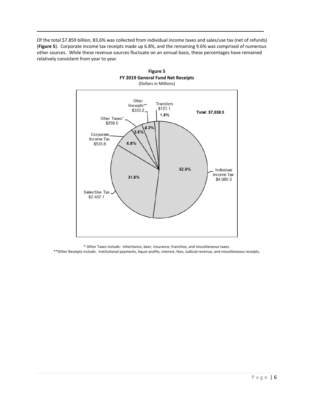Of the total \$7.859 billion, 83.6% was collected from individual income taxes and sales/use tax (net of refunds) (**Figure 5**). Corporate income tax receipts made up 6.8%, and the remaining 9.6% was comprised of numerous other sources. While these revenue sources fluctuate on an annual basis, these percentages have remained relatively consistent from year to year.



\* Other Taxes include: Inheritance, beer, insurance, franchise, and miscellaneous taxes. \*\*Other Receipts include: Institutional payments, liquor profits, interest, fees, Judicial revenue, and miscellaneous receipts.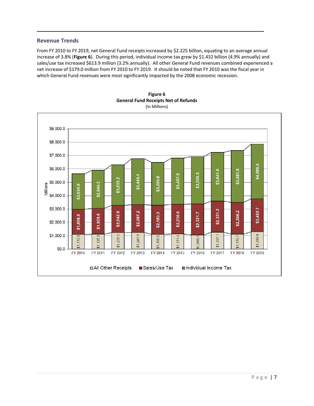## **Revenue Trends**

From FY 2010 to FY 2019, net General Fund receipts increased by \$2.225 billion, equating to an average annual increase of 3.8% (**Figure 6**). During this period, individual income tax grew by \$1.432 billion (4.9% annually) and sales/use tax increased \$613.9 million (3.2% annually). All other General Fund revenues combined experienced a net increase of \$179.0 million from FY 2010 to FY 2019. It should be noted that FY 2010 was the fiscal year in which General Fund revenues were most significantly impacted by the 2008 economic recession.



**Figure 6 General Fund Receipts Net of Refunds** (In Millions)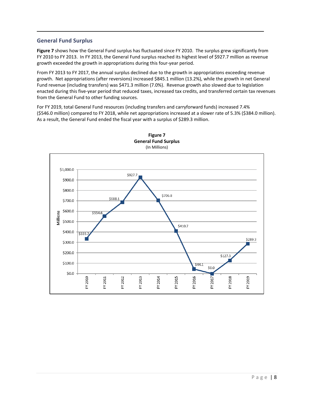## **General Fund Surplus**

**Figure 7** shows how the General Fund surplus has fluctuated since FY 2010. The surplus grew significantly from FY 2010 to FY 2013. In FY 2013, the General Fund surplus reached its highest level of \$927.7 million as revenue growth exceeded the growth in appropriations during this four-year period.

From FY 2013 to FY 2017, the annual surplus declined due to the growth in appropriations exceeding revenue growth. Net appropriations (after reversions) increased \$845.1 million (13.2%), while the growth in net General Fund revenue (including transfers) was \$471.3 million (7.0%). Revenue growth also slowed due to legislation enacted during this five-year period that reduced taxes, increased tax credits, and transferred certain tax revenues from the General Fund to other funding sources.

For FY 2019, total General Fund resources (including transfers and carryforward funds) increased 7.4% (\$546.0 million) compared to FY 2018, while net appropriations increased at a slower rate of 5.3% (\$384.0 million). As a result, the General Fund ended the fiscal year with a surplus of \$289.3 million.



**Figure 7 General Fund Surplus** (In Millions)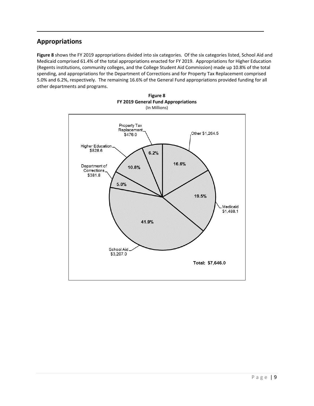# **Appropriations**

**Figure 8** shows the FY 2019 appropriations divided into six categories. Of the six categories listed, School Aid and Medicaid comprised 61.4% of the total appropriations enacted for FY 2019. Appropriations for Higher Education (Regents institutions, community colleges, and the College Student Aid Commission) made up 10.8% of the total spending, and appropriations for the Department of Corrections and for Property Tax Replacement comprised 5.0% and 6.2%, respectively. The remaining 16.6% of the General Fund appropriations provided funding for all other departments and programs.



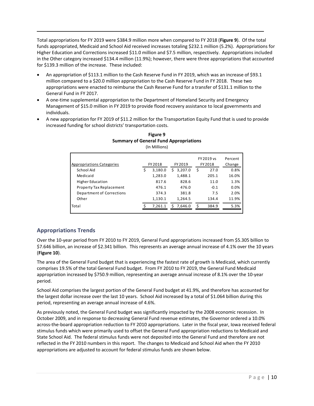Total appropriations for FY 2019 were \$384.9 million more when compared to FY 2018 (**Figure 9**). Of the total funds appropriated, Medicaid and School Aid received increases totaling \$232.1 million (5.2%). Appropriations for Higher Education and Corrections increased \$11.0 million and \$7.5 million, respectively. Appropriations included in the Other category increased \$134.4 million (11.9%); however, there were three appropriations that accounted for \$139.3 million of the increase. These included:

- An appropriation of \$113.1 million to the Cash Reserve Fund in FY 2019, which was an increase of \$93.1 million compared to a \$20.0 million appropriation to the Cash Reserve Fund in FY 2018. These two appropriations were enacted to reimburse the Cash Reserve Fund for a transfer of \$131.1 million to the General Fund in FY 2017.
- A one-time supplemental appropriation to the Department of Homeland Security and Emergency Management of \$15.0 million in FY 2019 to provide flood recovery assistance to local governments and individuals.
- A new appropriation for FY 2019 of \$11.2 million for the Transportation Equity Fund that is used to provide increased funding for school districts' transportation costs.

|                                  |               |               |    | FY 2019 vs | Percent |
|----------------------------------|---------------|---------------|----|------------|---------|
| <b>Appropriations Categories</b> | FY 2018       | FY 2019       |    | FY 2018    | Change  |
| School Aid                       | \$<br>3,180.0 | 3,207.0<br>Ś. | \$ | 27.0       | 0.8%    |
| Medicaid                         | 1,283.0       | 1,488.1       |    | 205.1      | 16.0%   |
| <b>Higher Education</b>          | 817.6         | 828.6         |    | 11.0       | 1.3%    |
| <b>Property Tax Replacement</b>  | 476.1         | 476.0         |    | $-0.1$     | 0.0%    |
| Department of Corrections        | 374.3         | 381.8         |    | 7.5        | 2.0%    |
| Other                            | 1,130.1       | 1,264.5       |    | 134.4      | 11.9%   |
| Total                            | 7.261.1       | Š.<br>7.646.0 | Ŝ. | 384.9      | 5.3%    |

#### **Figure 9 Summary of General Fund Appropriations** (In Millions)

## **Appropriations Trends**

Over the 10-year period from FY 2010 to FY 2019, General Fund appropriations increased from \$5.305 billion to \$7.646 billion, an increase of \$2.341 billion. This represents an average annual increase of 4.1% over the 10 years (**Figure 10**).

The area of the General Fund budget that is experiencing the fastest rate of growth is Medicaid, which currently comprises 19.5% of the total General Fund budget. From FY 2010 to FY 2019, the General Fund Medicaid appropriation increased by \$750.9 million, representing an average annual increase of 8.1% over the 10-year period.

School Aid comprises the largest portion of the General Fund budget at 41.9%, and therefore has accounted for the largest dollar increase over the last 10 years. School Aid increased by a total of \$1.064 billion during this period, representing an average annual increase of 4.6%.

As previously noted, the General Fund budget was significantly impacted by the 2008 economic recession. In October 2009, and in response to decreasing General Fund revenue estimates, the Governor ordered a 10.0% across-the-board appropriation reduction to FY 2010 appropriations. Later in the fiscal year, Iowa received federal stimulus funds which were primarily used to offset the General Fund appropriation reductions to Medicaid and State School Aid. The federal stimulus funds were not deposited into the General Fund and therefore are not reflected in the FY 2010 numbers in this report. The changes to Medicaid and School Aid when the FY 2010 appropriations are adjusted to account for federal stimulus funds are shown below.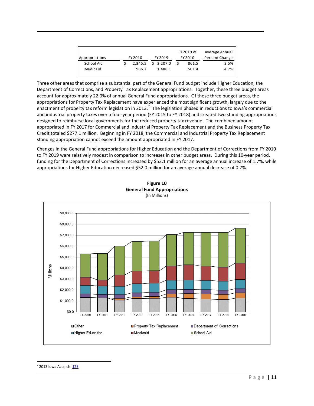|                |         |           | FY 2019 vs | Average Annual |
|----------------|---------|-----------|------------|----------------|
| Appropriations | FY 2010 | FY 2019   | FY 2010    | Percent Change |
| School Aid     | 2.345.5 | \$3.207.0 | 861.5      | 3.5%           |
| Medicaid       | 986.7   | 1.488.1   | 501.4      | 4.7%           |

Three other areas that comprise a substantial part of the General Fund budget include Higher Education, the Department of Corrections, and Property Tax Replacement appropriations. Together, these three budget areas account for approximately 22.0% of annual General Fund appropriations. Of these three budget areas, the appropriations for Property Tax Replacement have experienced the most significant growth, largely due to the enactment of property tax reform legislation in [2](#page-11-0)013.<sup>2</sup> The legislation phased in reductions to Iowa's commercial and industrial property taxes over a four-year period (FY 2015 to FY 2018) and created two standing appropriations designed to reimburse local governments for the reduced property tax revenue. The combined amount appropriated in FY 2017 for Commercial and Industrial Property Tax Replacement and the Business Property Tax Credit totaled \$277.1 million. Beginning in FY 2018, the Commercial and Industrial Property Tax Replacement standing appropriation cannot exceed the amount appropriated in FY 2017.

Changes in the General Fund appropriations for Higher Education and the Department of Corrections from FY 2010 to FY 2019 were relatively modest in comparison to increases in other budget areas. During this 10-year period, funding for the Department of Corrections increased by \$53.1 million for an average annual increase of 1.7%, while appropriations for Higher Education decreased \$52.0 million for an average annual decrease of 0.7%.



**Figure 10 General Fund Appropriations** (In Millions)

 $\overline{a}$ 

<span id="page-11-0"></span><sup>&</sup>lt;sup>2</sup> 2013 Iowa Acts, ch[. 123.](https://www.legis.iowa.gov/docs/publications/iactc/85.1/CH0123.pdf)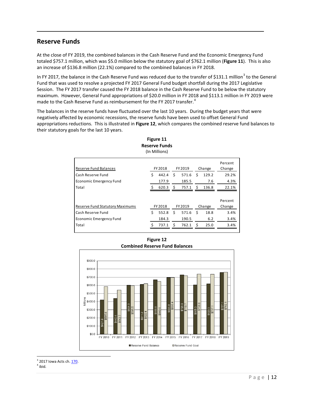# **Reserve Funds**

At the close of FY 2019, the combined balances in the Cash Reserve Fund and the Economic Emergency Fund totaled \$757.1 million, which was \$5.0 million below the statutory goal of \$762.1 million (**Figure 11**). This is also an increase of \$136.8 million (22.1%) compared to the combined balances in FY 2018.

In FY 2017, the balance in the Cash Reserve Fund was reduced due to the transfer of \$1[3](#page-12-0)1.1 million<sup>3</sup> to the General Fund that was used to resolve a projected FY 2017 General Fund budget shortfall during the 2017 Legislative Session. The FY 2017 transfer caused the FY 2018 balance in the Cash Reserve Fund to be below the statutory maximum. However, General Fund appropriations of \$20.0 million in FY 2018 and \$113.1 million in FY 2019 were made to the Cash Reserve Fund as reimbursement for the FY 2017 transfer.<sup>[4](#page-12-1)</sup>

The balances in the reserve funds have fluctuated over the last 10 years. During the budget years that were negatively affected by economic recessions, the reserve funds have been used to offset General Fund appropriations reductions. This is illustrated in **Figure 12**, which compares the combined reserve fund balances to their statutory goals for the last 10 years.

|                                        | (In Millions) |    |          |               |        |                   |
|----------------------------------------|---------------|----|----------|---------------|--------|-------------------|
| Reserve Fund Balances                  | FY 2018       |    | FY 2019  |               | Change | Percent<br>Change |
| Cash Reserve Fund                      | \$<br>442.4   | Ś  | 571.6    | \$            | 129.2  | 29.2%             |
| Economic Emergency Fund                | 177.9         |    | 185.5    |               | 7.6    | 4.3%              |
| Total                                  | 620.3         | Ŝ  | 757.1    | $\frac{1}{2}$ | 136.8  | 22.1%             |
|                                        |               |    |          |               |        |                   |
|                                        |               |    |          |               |        | Percent           |
| <b>Reserve Fund Statutory Maximums</b> | FY 2018       |    | FY 2019  |               | Change | Change            |
| Cash Reserve Fund                      | \$<br>552.8   | Ś. | 571.6    | Ś.            | 18.8   | 3.4%              |
| Economic Emergency Fund                | 184.3         |    | 190.5    |               | 6.2    | 3.4%              |
| Total                                  | 737.1         | S  | 762.1 \$ |               | 25.0   | 3.4%              |
|                                        |               |    |          |               |        |                   |

**Figure 11 Reserve Funds**  (In Millions)

**Figure 12 Combined Reserve Fund Balances**



 $3$  2017 Iowa Acts ch.  $170$ . l

#### <span id="page-12-1"></span><span id="page-12-0"></span> $<sup>4</sup>$  ibid.</sup>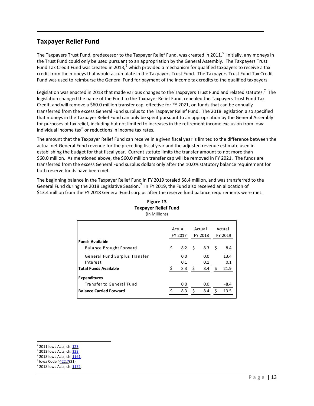# **Taxpayer Relief Fund**

The Taxpayers Trust Fund, predecessor to the Taxpayer Relief Fund, was created in 2011.<sup>[5](#page-13-0)</sup> Initially, any moneys in the Trust Fund could only be used pursuant to an appropriation by the General Assembly. The Taxpayers Trust Fund Tax Credit Fund was created in 2013,  $^6$  $^6$  which provided a mechanism for qualified taxpayers to receive a tax credit from the moneys that would accumulate in the Taxpayers Trust Fund. The Taxpayers Trust Fund Tax Credit Fund was used to reimburse the General Fund for payment of the income tax credits to the qualified taxpayers.

Legislation was enacted in 2018 that made various changes to the Taxpayers Trust Fund and related statutes.<sup>[7](#page-13-2)</sup> The legislation changed the name of the Fund to the Taxpayer Relief Fund, repealed the Taxpayers Trust Fund Tax Credit, and will remove a \$60.0 million transfer cap, effective for FY 2021, on funds that can be annually transferred from the excess General Fund surplus to the Taxpayer Relief Fund. The 2018 legislation also specified that moneys in the Taxpayer Relief Fund can only be spent pursuant to an appropriation by the General Assembly for purposes of tax relief, including but not limited to increases in the retirement income exclusion from Iowa individual income tax $8$  or reductions in income tax rates.

The amount that the Taxpayer Relief Fund can receive in a given fiscal year is limited to the difference between the actual net General Fund revenue for the preceding fiscal year and the adjusted revenue estimate used in establishing the budget for that fiscal year. Current statute limits the transfer amount to not more than \$60.0 million. As mentioned above, the \$60.0 million transfer cap will be removed in FY 2021. The funds are transferred from the excess General Fund surplus dollars only after the 10.0% statutory balance requirement for both reserve funds have been met.

The beginning balance in the Taxpayer Relief Fund in FY 2019 totaled \$8.4 million, and was transferred to the General Fund during the 2018 Legislative Session.<sup>[9](#page-13-4)</sup> In FY 2019, the Fund also received an allocation of \$13.4 million from the FY 2018 General Fund surplus after the reserve fund balance requirements were met.

|                                |    | Actual<br>FY 2017 |     | Actual<br>FY 2018 |     | Actual<br>FY 2019 |
|--------------------------------|----|-------------------|-----|-------------------|-----|-------------------|
| <b>Funds Available</b>         |    |                   |     |                   |     |                   |
| Balance Brought Forward        | \$ | $8.2 \quad$       |     | 8.3 <sup>5</sup>  |     | 8.4               |
| General Fund Surplus Transfer  |    | 0.0               |     | 0.0               |     | 13.4              |
| Interest                       |    | 0.1               |     | 0.1               |     | 0.1               |
| <b>Total Funds Available</b>   | Ś  | 8.3               | \$  | 8.4               | \$. | 21.9              |
| <b>Expenditures</b>            |    |                   |     |                   |     |                   |
| Transfer to General Fund       |    | 0.0               |     | 0.0               |     | $-8.4$            |
| <b>Balance Carried Forward</b> |    | 8.3               | - Ś | 8.4               | -S  | 13.5              |

**Figure 13 Taxpayer Relief Fund** (In Millions)

 $\overline{\phantom{a}}$ 

<span id="page-13-0"></span><sup>5</sup> 2011 Iowa Acts, ch[. 123.](https://www.legis.iowa.gov/docs/publications/iactc/84.1/CH0123.pdf)

<span id="page-13-1"></span> $6$  2013 Iowa Acts, ch.  $123$ .

<span id="page-13-2"></span> $^7$  2018 Iowa Acts, ch.  $1161$ .<br> $^8$  Iowa Code § $422.7(31)$ .

<span id="page-13-3"></span>

<span id="page-13-4"></span><sup>&</sup>lt;sup>9</sup> 2018 Iowa Acts, ch[. 1172.](https://www.legis.iowa.gov/docs/publications/iactc/87.2/CH1172.pdf)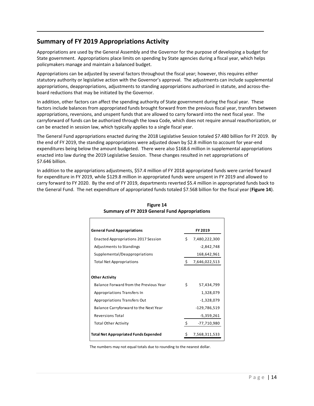# **Summary of FY 2019 Appropriations Activity**

Appropriations are used by the General Assembly and the Governor for the purpose of developing a budget for State government. Appropriations place limits on spending by State agencies during a fiscal year, which helps policymakers manage and maintain a balanced budget.

Appropriations can be adjusted by several factors throughout the fiscal year; however, this requires either statutory authority or legislative action with the Governor's approval. The adjustments can include supplemental appropriations, deappropriations, adjustments to standing appropriations authorized in statute, and across-theboard reductions that may be initiated by the Governor.

In addition, other factors can affect the spending authority of State government during the fiscal year. These factors include balances from appropriated funds brought forward from the previous fiscal year, transfers between appropriations, reversions, and unspent funds that are allowed to carry forward into the next fiscal year. The carryforward of funds can be authorized through the Iowa Code, which does not require annual reauthorization, or can be enacted in session law, which typically applies to a single fiscal year.

The General Fund appropriations enacted during the 2018 Legislative Session totaled \$7.480 billion for FY 2019. By the end of FY 2019, the standing appropriations were adjusted down by \$2.8 million to account for year-end expenditures being below the amount budgeted. There were also \$168.6 million in supplemental appropriations enacted into law during the 2019 Legislative Session. These changes resulted in net appropriations of \$7.646 billion.

In addition to the appropriations adjustments, \$57.4 million of FY 2018 appropriated funds were carried forward for expenditure in FY 2019, while \$129.8 million in appropriated funds were unspent in FY 2019 and allowed to carry forward to FY 2020. By the end of FY 2019, departments reverted \$5.4 million in appropriated funds back to the General Fund. The net expenditure of appropriated funds totaled \$7.568 billion for the fiscal year (**Figure 14**).

| <b>General Fund Appropriations</b>           | FY 2019             |
|----------------------------------------------|---------------------|
| <b>Enacted Appropriations 2017 Session</b>   | \$<br>7,480,222,300 |
| Adjustments to Standings                     | $-2.842.748$        |
| Supplemental/Deappropriations                | 168,642,961         |
| <b>Total Net Appropriations</b>              | \$<br>7,646,022,513 |
|                                              |                     |
| <b>Other Activity</b>                        |                     |
| Balance Forward from the Previous Year       | \$<br>57,434,799    |
| Appropriations Transfers In                  | 1,328,079           |
| Appropriations Transfers Out                 | $-1,328,079$        |
| Balance Carryforward to the Next Year        | -129,786,519        |
| <b>Reversions Total</b>                      | $-5,359,261$        |
| <b>Total Other Activity</b>                  | \$<br>-77,710,980   |
| <b>Total Net Appropriated Funds Expended</b> | \$<br>7,568,311,533 |

**Figure 14 Summary of FY 2019 General Fund Appropriations**

The numbers may not equal totals due to rounding to the nearest dollar.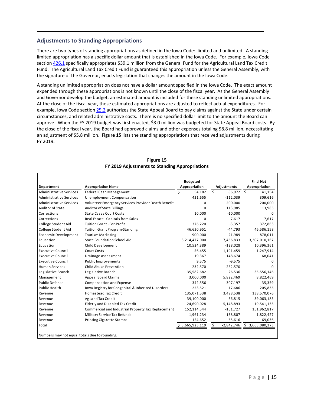## **Adjustments to Standing Appropriations**

There are two types of standing appropriations as defined in the Iowa Code: limited and unlimited. A standing limited appropriation has a specific dollar amount that is established in the Iowa Code. For example, Iowa Code sectio[n 426.1](https://www.legis.iowa.gov/docs/code/426.1.pdf) specifically appropriates \$39.1 million from the General Fund for the Agricultural Land Tax Credit Fund. The Agricultural Land Tax Credit Fund is guaranteed this appropriation unless the General Assembly, with the signature of the Governor, enacts legislation that changes the amount in the Iowa Code.

A standing unlimited appropriation does not have a dollar amount specified in the Iowa Code. The exact amount expended through these appropriations is not known until the close of the fiscal year. As the General Assembly and Governor develop the budget, an estimated amount is included for these standing unlimited appropriations. At the close of the fiscal year, these estimated appropriations are adjusted to reflect actual expenditures. For example, Iowa Code section [25.2](https://www.legis.iowa.gov/docs/code/25.2.pdf) authorizes the State Appeal Board to pay claims against the State under certain circumstances, and related administrative costs. There is no specified dollar limit to the amount the Board can approve. When the FY 2019 budget was first enacted, \$3.0 million was budgeted for State Appeal Board costs. By the close of the fiscal year, the Board had approved claims and other expenses totaling \$8.8 million, necessitating an adjustment of \$5.8 million. **Figure 15** lists the standing appropriations that received adjustments during FY 2019.

|                                               |                                                     | <b>Budgeted</b> |                | <b>Final Net</b>   |
|-----------------------------------------------|-----------------------------------------------------|-----------------|----------------|--------------------|
| Department                                    | <b>Appropriation Name</b>                           | Appropriation   | Adjustments    | Appropriation      |
| <b>Administrative Services</b>                | Federal Cash Management                             | \$<br>54,182    | Ś<br>86,972 \$ | 141,154            |
| <b>Administrative Services</b>                | Unemployment Compensation                           | 421,655         | $-112,039$     | 309,616            |
| <b>Administrative Services</b>                | Volunteer Emergency Services Provider Death Benefit | 0               | 200,000        | 200,000            |
| Auditor of State                              | <b>Auditor of State Billings</b>                    | 0               | 113,985        | 113,985            |
| Corrections                                   | <b>State Cases Court Costs</b>                      | 10,000          | $-10,000$      | $\Omega$           |
| Corrections                                   | Real Estate - Capitals from Sales                   | 0               | 7,617          | 7,617              |
| College Student Aid                           | <b>Tuition Grant - For-Profit</b>                   | 376,220         | $-3,357$       | 372,863            |
| College Student Aid                           | <b>Tuition Grant Program-Standing</b>               | 46,630,951      | $-44,793$      | 46,586,158         |
| <b>Economic Development</b>                   | <b>Tourism Marketing</b>                            | 900,000         | $-21,989$      | 878,011            |
| Education                                     | State Foundation School Aid                         | 3,214,477,000   | $-7,466,833$   | 3,207,010,167      |
| Education                                     | Child Development                                   | 10,524,389      | $-128,028$     | 10,396,361         |
| <b>Executive Council</b>                      | <b>Court Costs</b>                                  | 56,455          | 1,191,459      | 1,247,914          |
| <b>Executive Council</b>                      | Drainage Assessment                                 | 19,367          | 148,674        | 168,041            |
| <b>Executive Council</b>                      | <b>Public Improvements</b>                          | 9,575           | $-9,575$       | 0                  |
| <b>Human Services</b>                         | <b>Child Abuse Prevention</b>                       | 232,570         | $-232,570$     | $\Omega$           |
| Legislative Branch                            | Legislative Branch                                  | 35,582,682      | $-26,536$      | 35,556,146         |
| Management                                    | <b>Appeal Board Claims</b>                          | 3,000,000       | 5,822,469      | 8,822,469          |
| <b>Public Defense</b>                         | Compensation and Expense                            | 342,556         | $-307,197$     | 35,359             |
| <b>Public Health</b>                          | Iowa Registry for Congenital & Inherited Disorders  | 223,521         | $-17,686$      | 205,835            |
| Revenue                                       | <b>Homestead Tax Credit</b>                         | 135,071,538     | 3,498,538      | 138,570,076        |
| Revenue                                       | Ag Land Tax Credit                                  | 39,100,000      | $-36,815$      | 39,063,185         |
| Revenue                                       | Elderly and Disabled Tax Credit                     | 24,690,028      | $-5,148,893$   | 19,541,135         |
| Revenue                                       | Commercial and Industrial Property Tax Replacement  | 152,114,544     | $-151,727$     | 151,962,817        |
| Revenue                                       | Military Service Tax Refunds                        | 1,961,234       | $-138,807$     | 1,822,427          |
| Revenue                                       | <b>Printing Cigarette Stamps</b>                    | 124,652         | $-55,616$      | 69,036             |
| Total                                         |                                                     | \$3,665,923,119 | $-2,842,746$   | 3,663,080,373<br>S |
| Numbers may not equal totals due to rounding. |                                                     |                 |                |                    |

#### **Figure 15 FY 2019 Adjustments to Standing Appropriations**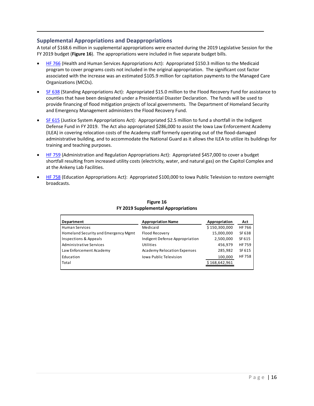## **Supplemental Appropriations and Deappropriations**

A total of \$168.6 million in supplemental appropriations were enacted during the 2019 Legislative Session for the FY 2019 budget (**Figure 16**). The appropriations were included in five separate budget bills.

- [HF 766](https://www.legis.iowa.gov/legislation/BillBook?ga=88&ba=hf766) (Health and Human Services Appropriations Act): Appropriated \$150.3 million to the Medicaid program to cover programs costs not included in the original appropriation. The significant cost factor associated with the increase was an estimated \$105.9 million for capitation payments to the Managed Care Organizations (MCOs).
- [SF 638](https://www.legis.iowa.gov/legislation/BillBook?ga=88&ba=sf638) (Standing Appropriations Act): Appropriated \$15.0 million to the Flood Recovery Fund for assistance to counties that have been designated under a Presidential Disaster Declaration. The funds will be used to provide financing of flood mitigation projects of local governments. The Department of Homeland Security and Emergency Management administers the Flood Recovery Fund.
- [SF 615](https://www.legis.iowa.gov/legislation/BillBook?ga=88&ba=sf615) (Justice System Appropriations Act): Appropriated \$2.5 million to fund a shortfall in the Indigent Defense Fund in FY 2019. The Act also appropriated \$286,000 to assist the Iowa Law Enforcement Academy (ILEA) in covering relocation costs of the Academy staff formerly operating out of the flood-damaged administrative building, and to accommodate the National Guard as it allows the ILEA to utilize its buildings for training and teaching purposes.
- [HF 759](https://www.legis.iowa.gov/legislation/BillBook?ga=88&ba=hf759) (Administration and Regulation Appropriations Act): Appropriated \$457,000 to cover a budget shortfall resulting from increased utility costs (electricity, water, and natural gas) on the Capitol Complex and at the Ankeny Lab Facilities.
- [HF 758](https://www.legis.iowa.gov/legislation/BillBook?ga=88&ba=HF%20758) (Education Appropriations Act): Appropriated \$100,000 to Iowa Public Television to restore overnight broadcasts.

| Department                           | <b>Appropriation Name</b>          | Appropriation | Act          |
|--------------------------------------|------------------------------------|---------------|--------------|
| Human Services                       | Medicaid                           | \$150,300,000 | HF 766       |
| Homeland Security and Emergency Mgmt | Flood Recovery                     | 15,000,000    | SF 638       |
| Inspections & Appeals                | Indigent Defense Appropriation     | 2,500,000     | SF 615       |
| Administrative Services              | Utilities                          | 456,979       | <b>HF759</b> |
| Law Enforcement Academy              | <b>Academy Relocation Expenses</b> | 285,982       | SF 615       |
| Education                            | Jowa Public Television             | 100,000       | <b>HF758</b> |
| Total                                |                                    | \$168,642,961 |              |

**Figure 16 FY 2019 Supplemental Appropriations**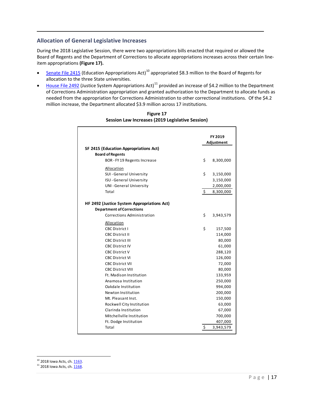## **Allocation of General Legislative Increases**

During the 2018 Legislative Session, there were two appropriations bills enacted that required or allowed the Board of Regents and the Department of Corrections to allocate appropriations increases across their certain lineitem appropriations **(Figure 17).**

- Senate [File 2415](https://www.legis.iowa.gov/legislation/BillBook?ga=87&ba=sf2415) (Education Appropriations Act)<sup>[10](#page-17-0)</sup> appropriated \$8.3 million to the Board of Regents for allocation to the three State universities.
- [House File](https://www.legis.iowa.gov/legislation/BillBook?ga=87&ba=hf2492) 2492 (Justice System Appropriations Act)<sup>[11](#page-17-1)</sup> provided an increase of \$4.2 million to the Department of Corrections Administration appropriation and granted authorization to the Department to allocate funds as needed from the appropriation for Corrections Administration to other correctional institutions. Of the \$4.2 million increase, the Department allocated \$3.9 million across 17 institutions.

| SF 2415 (Education Appropriations Act)<br><b>Board of Regents</b><br>BOR - FY 19 Regents Increase             | \$       | <b>FY 2019</b><br>Adjustment<br>8,300,000        |
|---------------------------------------------------------------------------------------------------------------|----------|--------------------------------------------------|
| Allocation<br>SUI - General University<br>ISU - General University<br><b>UNI-General University</b><br>Total  | \$<br>\$ | 3,150,000<br>3,150,000<br>2,000,000<br>8,300,000 |
| HF 2492 (Justice System Appropriations Act)<br><b>Department of Corrections</b><br>Corrections Administration | \$       | 3,943,579                                        |
| Allocation<br><b>CBC District I</b><br><b>CBC District II</b><br><b>CBC District III</b>                      | \$       | 157,500<br>114,000<br>80,000                     |
| <b>CBC District IV</b><br><b>CBC District V</b><br><b>CBC District VI</b><br><b>CBC District VII</b>          |          | 61,000<br>288,120<br>126,000<br>72,000           |
| <b>CBC District VIII</b><br><b>Ft. Madison Institution</b><br>Anamosa Institution<br>Oakdale Institution      |          | 80,000<br>133,959<br>250,000<br>994,000          |
| Newton Institution<br>Mt. Pleasant Inst.<br>Rockwell City Institution<br>Clarinda Institution                 |          | 200,000<br>150,000<br>63,000<br>67,000           |
| Mitchellville Institution<br>Ft. Dodge Institution<br>Total                                                   | \$       | 700,000<br>407,000<br>3,943,579                  |

**Figure 17 Session Law Increases (2019 Legislative Session)**

l

<span id="page-17-0"></span><sup>&</sup>lt;sup>10</sup> 2018 Iowa Acts, ch[. 1163.](https://www.legis.iowa.gov/docs/publications/iactc/87.2/CH1163.pdf)

<span id="page-17-1"></span> $11$  2018 Iowa Acts, ch.  $1168$ .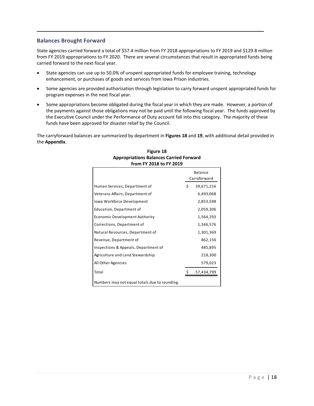## **Balances Brought Forward**

State agencies carried forward a total of \$57.4 million from FY 2018 appropriations to FY 2019 and \$129.8 million from FY 2019 appropriations to FY 2020. There are several circumstances that result in appropriated funds being carried forward to the next fiscal year.

- State agencies can use up to 50.0% of unspent appropriated funds for employee training, technology enhancement, or purchases of goods and services from Iowa Prison Industries.
- Some agencies are provided authorization through legislation to carry forward unspent appropriated funds for program expenses in the next fiscal year.
- Some appropriations become obligated during the fiscal year in which they are made. However, a portion of the payments against those obligations may not be paid until the following fiscal year. The funds approved by the Executive Council under the Performance of Duty account fall into this category. The majority of these funds have been approved for disaster relief by the Council.

The carryforward balances are summarized by department in **Figures 18** and **19**, with additional detail provided in the **Appendix**.

|                                               | Balance<br>Carryforward |
|-----------------------------------------------|-------------------------|
| Human Services, Department of                 | \$<br>39,671,216        |
| Veterans Affairs, Department of               | 6,493,068               |
| Iowa Workforce Development                    | 2,853,598               |
| Education, Department of                      | 2,059,306               |
| Economic Development Authority                | 1,564,293               |
| Corrections, Department of                    | 1,346,576               |
| Natural Resources, Department of              | 1,301,369               |
| Revenue, Department of                        | 862,156                 |
| Inspections & Appeals, Department of          | 485,895                 |
| Agriculture and Land Stewardship              | 218,300                 |
| All Other Agencies                            | 579,023                 |
| Total                                         | 57,434,799              |
| Numbers may not equal totals due to rounding. |                         |

#### **Figure 18 Appropriations Balances Carried Forward from FY 2018 to FY 2019**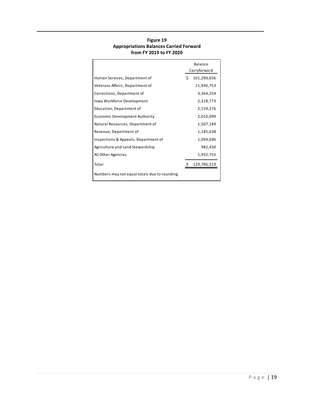|                                               | Balance<br>Carryforward |
|-----------------------------------------------|-------------------------|
| Human Services, Department of                 | Ś<br>101,290,656        |
| Veterans Affairs, Department of               | 11,940,753              |
| Corrections, Department of                    | 3,364,254               |
| lowa Workforce Development                    | 2,318,773               |
| Education, Department of                      | 2,159,276               |
| <b>Economic Development Authority</b>         | 2,010,099               |
| Natural Resources, Department of              | 1,507,189               |
| Revenue, Department of                        | 1,185,638               |
| Inspections & Appeals, Department of          | 1,094,696               |
| Agriculture and Land Stewardship              | 982,430                 |
| All Other Agencies                            | 1,932,755               |
| Total                                         | 129,786,519             |
| Numbers may not equal totals due to rounding. |                         |

## **Figure 19 Appropriations Balances Carried Forward from FY 2019 to FY 2020**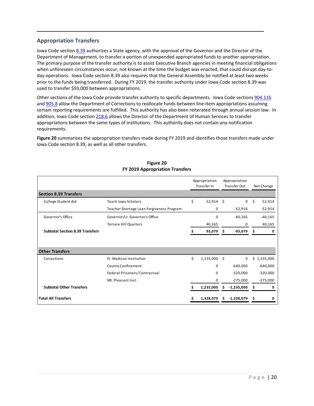## **Appropriation Transfers**

Iowa Code sectio[n 8.39](https://www.legis.iowa.gov/docs/code/8.39.pdf) authorizes a State agency, with the approval of the Governor and the Director of the Department of Management, to transfer a portion of unexpended appropriated funds to another appropriation. The primary purpose of the transfer authority is to assist Executive Branch agencies in meeting financial obligations when unforeseen circumstances occur, not known at the time the budget was enacted, that could disrupt day-today operations. Iowa Code section 8.39 also requires that the General Assembly be notified at least two weeks prior to the funds being transferred. During FY 2019, the transfer authority under Iowa Code section 8.39 was used to transfer \$93,000 between appropriations.

Other sections of the Iowa Code provide transfer authority to specific departments. Iowa Code sections [904.116](https://www.legis.iowa.gov/docs/code/904.116.pdf) an[d 905.8](https://www.legis.iowa.gov/docs/code/905.8.pdf) allow the Department of Corrections to reallocate funds between line-item appropriations assuming certain reporting requirements are fulfilled. This authority has also been reiterated through annual session law. In addition, Iowa Code section [218.6](https://www.legis.iowa.gov/docs/code/218.6.pdf) allows the Director of the Department of Human Services to transfer appropriations between the same types of institutions. This authority does not contain any notification requirements.

**Figure 20** summarizes the appropriation transfers made during FY 2019 and identifies those transfers made under Iowa Code sectio[n 8.39,](https://www.legis.iowa.gov/docs/code/8.39.pdf) as well as all other transfers.

|                                        |                                           |    | Appropriation<br>Transfer In |      | Appropriation<br>Transfer Out |    | Net Change |
|----------------------------------------|-------------------------------------------|----|------------------------------|------|-------------------------------|----|------------|
| <b>Section 8.39 Transfers</b>          |                                           |    |                              |      |                               |    |            |
| College Student Aid                    | <b>Teach Iowa Scholars</b>                | \$ | 52,914                       | \$   | $\mathbf 0$                   | Ś. | 52,914     |
|                                        | Teacher Shortage Loan Forgiveness Program |    | 0                            |      | $-52,914$                     |    | $-52,914$  |
| Governor's Office                      | Governor/Lt. Governor's Office            |    | $\mathbf 0$                  |      | $-40,165$                     |    | $-40,165$  |
|                                        | <b>Terrace Hill Quarters</b>              |    | 40,165                       |      | 0                             |    | 40,165     |
| <b>Subtotal Section 8.39 Transfers</b> |                                           |    | 93,079                       | s    | -93,079                       | S  | 0          |
| <b>Other Transfers</b>                 |                                           |    |                              |      |                               |    |            |
| Corrections                            | Ft. Madison Institution                   | \$ | 1,235,000                    | - \$ | $\mathbf 0$                   | Ś. | 1,235,000  |
|                                        | <b>County Confinement</b>                 |    | 0                            |      | $-640,000$                    |    | $-640,000$ |
|                                        | Federal Prisoners/Contractual             |    | 0                            |      | $-320,000$                    |    | $-320,000$ |
|                                        | Mt. Pleasant Inst.                        |    | 0                            |      | $-275,000$                    |    | $-275,000$ |
| <b>Subtotal Other Transfers</b>        |                                           | S  | 1,235,000                    | s    | -1,235,000                    | \$ | 0          |
| <b>Total All Transfers</b>             |                                           | Ş  | 1,328,079                    |      | -1,328,079                    | \$ | 0          |

## **Figure 20 FY 2019 Appropriation Transfers**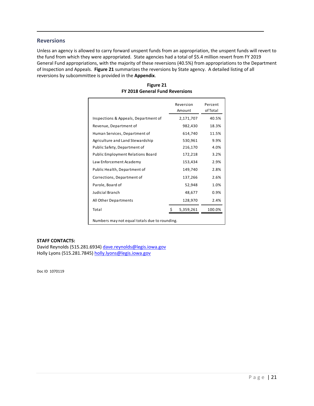## **Reversions**

Unless an agency is allowed to carry forward unspent funds from an appropriation, the unspent funds will revert to the fund from which they were appropriated. State agencies had a total of \$5.4 million revert from FY 2019 General Fund appropriations, with the majority of these reversions (40.5%) from appropriations to the Department of Inspection and Appeals. **Figure 21** summarizes the reversions by State agency. A detailed listing of all reversions by subcommittee is provided in the **Appendix**.

|                                               | Reversion<br>Amount | Percent<br>of Total |
|-----------------------------------------------|---------------------|---------------------|
| Inspections & Appeals, Department of          | 2,171,707           | 40.5%               |
| Revenue, Department of                        | 982,430             | 18.3%               |
| Human Services, Department of                 | 614,740             | 11.5%               |
| Agriculture and Land Stewardship              | 530,961             | 9.9%                |
| Public Safety, Department of                  | 216,170             | 4.0%                |
| <b>Public Employment Relations Board</b>      | 172,218             | 3.2%                |
| Law Enforcement Academy                       | 153,434             | 2.9%                |
| Public Health, Department of                  | 149,740             | 2.8%                |
| Corrections, Department of                    | 137,266             | 2.6%                |
| Parole, Board of                              | 52,948              | 1.0%                |
| Judicial Branch                               | 48,677              | 0.9%                |
| All Other Departments                         | 128,970             | 2.4%                |
| Total                                         | 5,359,261           | 100.0%              |
| Numbers may not equal totals due to rounding. |                     |                     |

#### **Figure 21 FY 2018 General Fund Reversions**

#### **STAFF CONTACTS:**

David Reynolds (515.281.6934) dave.reynolds@legis.iowa.gov Holly Lyons (515.281.7845[\) holly.lyons@legis.iowa.gov](mailto:holly.lyons@legis.iowa.gov)

Doc ID 1070119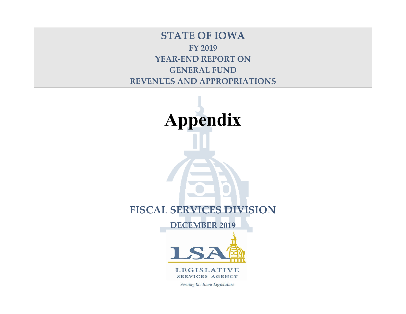**STATE OF IOWA FY 2019 YEAR-END REPORT ON GENERAL FUND REVENUES AND APPROPRIATIONS**



Serving the Iowa Legislature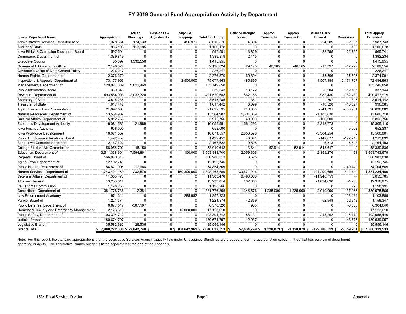## **FY 2019 General Fund Appropriation Activity by Department**

|                                            |                                      | Adj. to          | <b>Session Law</b> | Suppl. &       |                                    | <b>Balance Brought</b> | Approp             | Approp              | <b>Balance Carry</b> |                   | <b>Total Approp</b>  |
|--------------------------------------------|--------------------------------------|------------------|--------------------|----------------|------------------------------------|------------------------|--------------------|---------------------|----------------------|-------------------|----------------------|
| <b>Special Department Name</b>             | Appropriation                        | <b>Standings</b> | <b>Adjustments</b> | Deapprop.      | <b>Total Net Approp</b>            | Forward                | <b>Transfer In</b> | <b>Transfer Out</b> | Forward              | <b>Reversions</b> | Expended             |
| Administrative Services, Department of     | 7,378,664                            | 174,933          | $\Omega$           | 456,979        | 8,010,576                          | 4,394                  | $\Omega$           | $\Omega$            | $-24,289$            | $-2,937$          | 7,987,743            |
| <b>Auditor of State</b>                    | 986,193                              | 113,985          | 0                  | $\mathbf 0$    | 1,100,178                          | $\Omega$               | $\Omega$           | $\Omega$            | $\Omega$             | $-100$            | 1,100,078            |
| Iowa Ethics & Campaign Disclosure Board    | 597,501                              | $\Omega$         | $\Omega$           | $\Omega$       | 597,501                            | 13,829                 | $\Omega$           | 0                   | $-22,795$            | $-22,795$         | 565,741              |
| Commerce, Department of                    | 1,389,819                            | $\Omega$         | $\mathbf 0$        | 0              | 1,389,819                          | 2,415                  | $\Omega$           | $\Omega$            | <sup>0</sup>         |                   | 1,392,234            |
| <b>Executive Council</b>                   | 85,397                               | 1,330,558        | $\mathbf 0$        | $\Omega$       | 1,415,955                          | $\Omega$               | $\Omega$           | $\Omega$            | $\Omega$             |                   | 1,415,955            |
| Governor/Lt. Governor's Office             | 2,196,024                            | $\Omega$         | $\Omega$           | $\mathbf 0$    | 2,196,024                          | 29,125                 | 40,165             | $-40,165$           | $-17,797$            | $-17,797$         | 2,189,554            |
| Governor's Office of Drug Control Policy   | 226,247                              | $\Omega$         | $\mathbf 0$        | $\mathbf 0$    | 226,247                            | $\Omega$               | $\Omega$           | $\mathbf 0$         | 0                    |                   | 226,247              |
| Human Rights, Department of                | 2,376,379                            | $\Omega$         | 0                  | $\mathbf 0$    | 2,376,379                          | 69,804                 | $\Omega$           | 0                   | $-35,596$            | $-35,596$         | 2,374,991            |
| Inspections & Appeals, Department of       | 73,177,963                           | $\Omega$         | $\mathbf 0$        | 2,500,000      | 75,677,963                         | 485,895                | $\Omega$           | 0                   | $-1,507,189$         | $-2, 171, 707$    | 72,484,963           |
| Management, Department of                  | 129,927,389                          | 5,822,469        | $\mathbf 0$        | $\Omega$       | 135,749,858                        | $\Omega$               | $\Omega$           | $\Omega$            | $\Omega$             | $\Omega$          | 135,749,858          |
| <b>Public Information Board</b>            | 339,343                              | $\Omega$         | 0                  | $\mathbf 0$    | 339,343                            | 18,172                 | $\Omega$           | 0                   | $-8,204$             | $-12,167$         | 337,144              |
| Revenue, Department of                     | 493,554,003                          | $-2,033,320$     | 0                  | 0              | 491,520,683                        | 862,156                | 0                  | 0                   | $-982,430$           | $-982,430$        | 490,417,979          |
| Secretary of State                         | 3,515,285                            | $\Omega$         | $\mathbf 0$        | $\mathbf 0$    | 3,515,285                          | 381                    | 0                  | 0                   | $-707$               | $-817$            | 3,514,142            |
| Treasurer of State                         | 1,017,442                            | $\Omega$         | $\mathbf 0$        | $\mathbf 0$    | 1,017,442                          | 3,099                  | $\Omega$           | $\Omega$            | $-10,528$            | $-13,627$         | 996,385              |
| Agriculture and Land Stewardship           | 21,692,535                           | $\Omega$         | $\Omega$           | 0              | 21,692,535                         | 218,300                | 0                  | 0                   | $-741,791$           | $-530,961$        | 20,638,082           |
| Natural Resources, Department of           | 13,564,987                           | $\Omega$         | $\mathbf 0$        | 0              | 13,564,987                         | 1,301,369              | 0                  | $\mathbf 0$         | $-1,185,638$         | $\Omega$          | 13,680,718           |
| Cultural Affairs, Department of            | 5,912,756                            | $\Omega$         | 0                  | $\mathbf 0$    | 5,912,756                          | 40,000                 | 0                  | $\mathbf 0$         | $-100,000$           |                   | 5,852,756            |
| <b>Economic Development Authority</b>      | 16,081,580                           | $-21,989$        | $\mathbf{0}$       | $\mathbf 0$    | 16,059,591                         | 1,564,293              | $\Omega$           | 0                   | $-2,318,773$         |                   | 15,305,110           |
| Iowa Finance Authority                     | 658,000                              | $\Omega$         | $\Omega$           | $\mathbf 0$    | 658,000                            | $\Omega$               | $\Omega$           | 0                   | $\Omega$             | $-5,663$          | 652,337              |
| Iowa Workforce Development                 | 16,071,557                           | $\Omega$         | $\mathbf 0$        | 0              | 16,071,557                         | 2,853,598              | $\Omega$           | $\Omega$            | $-3,364,254$         | $\Omega$          | 15,560,901           |
| <b>Public Employment Relations Board</b>   | 1,492,452                            | $\Omega$         | 0                  | $\Omega$       | 1,492,452                          | 43,341                 | $\Omega$           | $\Omega$            | $-149,677$           | $-172,218$        | 1,213,899            |
| Blind, Iowa Commission for the             | 2,167,622                            | $\Omega$         | $\Omega$           | $\Omega$       | 2,167,622                          | 9,598                  | U                  | $\Omega$            | $-6,513$             | $-6,513$          | 2,164,193            |
| College Student Aid Commission             | 58,958,792                           | $-48,150$        | $\Omega$           | $\Omega$       | 58,910,642                         | 13,641                 | 52,914             | $-52,914$           | $-543,647$           | $\Omega$          | 58,380,636           |
| Education, Department of                   | 3,511,338,601                        | $-7,594,861$     | 0                  | 100,000        | 3,503,843,740                      | 2,059,306              | $\Omega$           | <sup>n</sup>        | $-2,159,276$         | -91               | 3,503,743,679        |
| Regents, Board of                          | 566,980,313                          | $\Omega$         | 0                  | $\Omega$       | 566,980,313                        | 3,525                  | $\Omega$           | $\Omega$            | $\Omega$             | $\Omega$          | 566,983,838          |
| Aging, Iowa Department of                  | 12,192,745                           | <sup>n</sup>     | 0                  | $\Omega$       | 12,192,745                         | $\Omega$               | $\Omega$           | $\Omega$            | $\Omega$             |                   | 12, 192, 745         |
| Public Health, Department of               | 54,871,995                           | $-17,686$        | 0                  | $\Omega$       | 54,854,309                         | $\Omega$               | $\Omega$           | 0                   | 0                    | $-149,740$        | 54,704,569           |
| Human Services, Department of              | 1,743,401,159                        | $-232,570$       | 0                  | 150,300,000    | 1,893,468,589                      | 39,671,216             | $\Omega$           |                     | -101,290,656         | $-614,740$        | 1,831,234,409        |
| Veterans Affairs, Department of            | 11,303,476                           | $\mathbf 0$      | 0                  | $\Omega$       | 11,303,476                         | 6,493,068              | $\Omega$           | $\Omega$            | $-11,940,753$        | $-7$              | 5,855,785            |
| <b>Attorney General</b>                    | 13,233,014                           | $\Omega$         | 0                  | $\Omega$       | 13,233,014                         | 182,863                | $\Omega$           | $\Omega$            | $-1,094,696$         | $-4,206$          | 12,316,975           |
| Civil Rights Commission                    | 1,198,266                            | $\Omega$         | 0                  | $\mathbf 0$    | 1,198,266                          | $\Omega$               | $\Omega$           | 0                   | $\mathbf 0$          | $-75$             | 1,198,191            |
| Corrections, Department of                 | 381,778,738                          | $-2,384$         | 0                  | $\mathbf 0$    | 381,776,355                        | 1,346,576              | 1,235,000          | $-1.235.000$        | $-2,010,099$         | $-137,266$        | 380,975,565          |
| Law Enforcement Academy                    | 971,341                              | $\Omega$         | 0                  | 285,982        | 1,257,323                          | $\Omega$               | $\Omega$           | $\mathbf 0$         | $\mathbf 0$          | $-153,434$        | 1,103,889            |
| Parole, Board of                           | 1,221,374                            | $\Omega$         | $\Omega$           | $\Omega$       | 1,221,374                          | 42,869                 | $\Omega$           | $\Omega$            | $-52,948$            | $-52,948$         | 1.158.347            |
| Public Defense, Department of              | 6,677,517                            | $-307, 197$      | $\mathbf 0$        | $\Omega$       | 6,370,320                          | 900                    | $\Omega$           | 0                   | $\Omega$             | $-6,580$          | 6,364,640            |
| Homeland Security and Emergency Management | 2,123,610                            | $\Omega$         | $\Omega$           | 15,000,000     | 17,123,610                         | $\mathbf{0}$           | $\Omega$           | $\Omega$            | $\Omega$             | $\Omega$          | 17,123,610           |
| Public Safety, Department of               | 103,304,742                          | $\Omega$         | $\overline{0}$     | $\Omega$       | 103,304,742                        | 88,131                 | $\Omega$           | $\Omega$            | $-218,262$           | $-216,170$        | 102,958,440          |
| <b>Judicial Branch</b>                     | 180,674,797                          | <sup>n</sup>     | $\overline{0}$     | $\overline{0}$ | 180,674,797                        | 12,937                 | $\Omega$           | $\Omega$            | $\Omega$             | $-48,677$         | 180,639,057          |
| Legislative Branch                         | 35,582,682                           | $-26,536$        | $\Omega$           | $\Omega$       | 35,556,146                         | $\Omega$               | $\Omega$           | $\Omega$            | <sup>0</sup>         | $\Omega$          | 35,556,146           |
| <b>Grand Total</b>                         | 7,480,222,300 \$ -2,842,748 \$<br>s. |                  |                    |                | 0 \$168.642.961 \$7.646.022.513 \$ | 57,434,799 \$          | 1.328.079 \$       | $-1,328,079$ \$     | $-129,786,519$ \$    | $-5,359,261$      | l\$<br>7,568,311,533 |

Note: For this report, the standing appropriations that the Legislative Services Agency typically lists under Unassigned Standings are grouped under the appropriation subcommittee that has purview of department operating budgets. The Legislative Branch budget is listed separately at the end of the Appendix.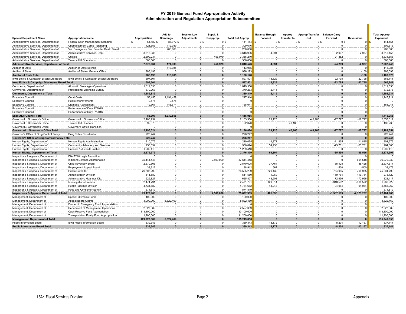#### **FY 2019 General Fund Appropriation Activity Administration and Regulation Appropriation Subcommittee**

|                                                                          |                                                               |                                  | Adj. to<br><b>Standings</b> | <b>Session Law</b>        | Suppl. &                    |                                    | <b>Balance Brought</b>    | Approp<br><b>Transfer In</b> | Approp Transfer Balance Carry |                           |                   | <b>Total Approp</b>        |
|--------------------------------------------------------------------------|---------------------------------------------------------------|----------------------------------|-----------------------------|---------------------------|-----------------------------|------------------------------------|---------------------------|------------------------------|-------------------------------|---------------------------|-------------------|----------------------------|
| <b>Special Department Name</b><br>Administrative Services, Department of | <b>Appropriation Name</b><br>Federal Cash Management Standing | Appropriation<br>54,182 \$<br>£. | 86,972\$                    | <b>Adjustments</b><br>0\$ | Deapprop.<br>0 <sup>5</sup> | <b>Total Net Approp</b><br>141,154 | Forward<br>0 <sup>5</sup> |                              | Out<br>0 <sup>3</sup><br>0\$  | Forward<br>0 <sup>5</sup> | <b>Reversions</b> | <b>Expended</b><br>141,154 |
| Administrative Services, Department of                                   | Unemployment Comp - Standing                                  | 421,655                          | $-112,039$                  | $^{\circ}$                | $\Omega$                    | 309,616                            | $\Omega$                  | $\Omega$                     | $\Omega$                      | $\Omega$                  |                   | 309,616                    |
|                                                                          |                                                               | $\Omega$                         | 200,000                     |                           |                             | 200.000                            | $\Omega$                  | $\Omega$                     | $\Omega$                      | $\Omega$                  |                   | 200,000                    |
| Administrative Services, Department of                                   | Vol. Emergency Ser. Provider Death Benefit                    |                                  |                             | $\Omega$                  | $\Omega$                    |                                    |                           | $\Omega$                     |                               |                           |                   |                            |
| Administrative Services, Department of                                   | Administrative Services, Dept.                                | 3,616,936                        |                             | $\Omega$                  |                             | 3,616,936                          | 4,394<br>$\Omega$         | $\Omega$                     | $^{\circ}$<br>$\Omega$        | $-2,937$                  | $-2,937$          | 3,615,455                  |
| Administrative Services, Department of                                   | Utilities                                                     | 2,899,231                        | $\Omega$                    | $\Omega$                  | 456,979<br>$\Omega$         | 3,356,210                          | $\Omega$                  | $\Omega$                     | $\Omega$                      | $-21,352$                 |                   | 3,334,858                  |
| Administrative Services, Department of                                   | <b>Terrace Hill Operations</b>                                | 386,660                          |                             |                           |                             | 386,660                            |                           |                              |                               | $\Omega$                  |                   | 386,660                    |
| <b>Administrative Services, Department of Total</b>                      |                                                               | 7,378,664                        | 174,933                     | $\mathbf{0}$              | 456,979                     | 8,010,576                          | 4,394                     | $\mathbf{0}$                 | $\mathbf{0}$                  | $-24,289$                 | $-2,937$          | 7,987,743                  |
| Auditor of State                                                         | <b>Auditor of State Billings</b>                              | $\Omega$                         | 113,985                     | $^{\circ}$                | $\Omega$                    | 113,985                            | $\Omega$                  | $\Omega$                     | $\Omega$                      | $\Omega$                  |                   | 113,985                    |
| Auditor of State                                                         | Auditor of State - General Office                             | 986,193                          | $\Omega$                    | $\Omega$                  | $\Omega$                    | 986,193                            | $\Omega$                  | $\Omega$                     | $\Omega$                      | $\Omega$                  | $-100$            | 986,093                    |
| <b>Auditor of State Total</b>                                            |                                                               | 986,193                          | 113,985                     | $\Omega$                  | $\Omega$                    | 1,100,178                          | $\mathbf{0}$              | $\mathbf{0}$                 |                               | $\mathbf{0}$              | $-100$            | 1,100,078                  |
| Iowa Ethics & Campaign Disclosure Board                                  | Iowa Ethics & Campaign Disclosure Board                       | 597.501                          | $\Omega$                    | $\Omega$                  | $\Omega$                    | 597,501                            | 13.829                    | $\Omega$                     | $\Omega$                      | $-22.795$                 | $-22.795$         | 565,741                    |
| lowa Ethics & Campaign Disclosure Board Total                            |                                                               | 597,501                          | $\bf{0}$                    | $\mathbf{0}$              | $\Omega$                    | 597,501                            | 13.829                    | $\Omega$                     | $\mathbf{r}$                  | $-22.795$                 | $-22,795$         | 565,741                    |
| Commerce, Department of                                                  | Alcoholic Beverages Operations                                | 1,019,556                        | $\Omega$                    | $^{\circ}$                | $\mathbf 0$                 | 1,019,556                          | - 0                       | $\Omega$                     | $\Omega$                      | $\Omega$                  |                   | 1,019,556                  |
| Commerce, Department of                                                  | Professional Licensing Bureau                                 | 370,263                          | ŋ                           | $\Omega$                  | $\Omega$                    | 370,263                            | 2,415                     | $\Omega$                     | $\Omega$                      | $\Omega$                  |                   | 372,678                    |
| <b>Commerce, Department of Total</b>                                     |                                                               | 1,389,819                        | $\Omega$                    | $\mathbf{0}$              | $\Omega$                    | 1,389,819                          | 2,415                     | $\Omega$                     | $\mathbf{0}$                  | $\mathbf{0}$              |                   | 1,392,234                  |
| <b>Executive Council</b>                                                 | <b>Court Costs</b>                                            | 56,455                           | 1,191,459                   | $^{\circ}$                | $\Omega$                    | 1,247,914                          | - 0                       | $\Omega$                     | $^{\circ}$                    | $\mathbf 0$               |                   | 1,247,914                  |
| <b>Executive Council</b>                                                 | Public Improvements                                           | 9,575                            | $-9,575$                    | $\Omega$                  | $\Omega$                    |                                    | $\Omega$                  | $\Omega$                     | $\Omega$                      | $\Omega$                  |                   |                            |
| <b>Executive Council</b>                                                 | <b>Drainage Assessment</b>                                    | 19,367                           | 148,674                     |                           |                             | 168,041                            | $\Omega$                  | $\Omega$                     | $\Omega$                      | $\Omega$                  |                   | 168,041                    |
| <b>Executive Council</b>                                                 | Performance of Duty FY2015                                    | $\Omega$                         |                             |                           | $\Omega$                    |                                    | $\Omega$                  | $\Omega$                     | $\Omega$                      | $\Omega$                  |                   |                            |
| <b>Executive Council</b>                                                 | Performance of Duty FY2016                                    | $\Omega$                         |                             |                           | $\Omega$                    |                                    | $\Omega$                  | $\Omega$                     | $\Omega$                      | $\Omega$                  |                   |                            |
| <b>Executive Council Total</b>                                           |                                                               | 85,397                           | 1,330,558                   | $\Omega$                  | $\Omega$                    | 1,415,955                          | $\Omega$                  | $\Omega$                     | n                             | $\Omega$                  |                   | 1,415,955                  |
| Governor/Lt. Governor's Office                                           | Governor/Lt. Governor's Office                                | 2,103,954                        | $\Omega$                    | $\Omega$                  | $\Omega$                    | 2,103,954                          | 29,125                    | $\Omega$                     | $-40, 165$                    | $-17,797$                 | $-17,797$         | 2,057,319                  |
| Governor/Lt. Governor's Office                                           | <b>Terrace Hill Quarters</b>                                  | 92,070                           | $\Omega$                    | $\Omega$                  | $\Omega$                    | 92,070                             | $\Omega$                  | 40,165                       |                               | n                         |                   | 132,235                    |
| Governor/Lt. Governor's Office                                           | Governor's Office Transition                                  | $\Omega$                         | $\Omega$                    | $\Omega$                  | $\Omega$                    |                                    | - 0                       | $\Omega$                     |                               | $\Omega$                  |                   |                            |
| Governor/Lt. Governor's Office Total                                     |                                                               | 2,196,024                        | n                           | $\mathbf{r}$              | $\Omega$                    | 2,196,024                          | 29.125                    | 40,165                       | $-40,165$                     | $-17,797$                 | $-17,797$         | 2,189,554                  |
| Governor's Office of Drug Control Policy                                 | <b>Drug Policy Coordinator</b>                                | 226,247                          | $\Omega$                    | $\Omega$                  | $\Omega$                    | 226,247                            | - 0                       | $\Omega$                     | $\Omega$                      | $^{\circ}$                |                   | 226.247                    |
| Governor's Office of Drug Control Policy Total                           |                                                               | 226,247                          | $\mathbf{0}$                | $\Omega$                  | $\Omega$                    | 226,247                            | $\Omega$                  | $\mathbf{0}$                 | $\mathbf{0}$                  | $\bf{0}$                  |                   | 226,247                    |
| Human Rights, Department of                                              | Human Rights Administration                                   | 210,075                          | $\mathbf 0$                 | $^{\circ}$                | $\Omega$                    | 210,075                            | 14,871                    | $\Omega$                     | $^{\circ}$                    | $-11,835$                 | $-11,835$         | 201,276                    |
| Human Rights, Department of                                              | Community Advocacy and Services                               | 956.894                          | $\Omega$                    |                           | $\Omega$                    | 956.894                            | 54.933                    | $\Omega$                     | $\Omega$                      | $-23.761$                 | $-23,761$         | 964.305                    |
| Human Rights, Department of                                              | Criminal & Juvenile Justice                                   | 1,209,410                        | ŋ                           |                           | $\Omega$                    | 1,209,410                          | $\Omega$                  | $\Omega$                     | $\Omega$                      | $\Omega$                  |                   | 1,209,410                  |
| Human Rights, Department of Total                                        |                                                               | 2,376,379                        | $\bf{0}$                    | $\mathbf{r}$              | $\sqrt{2}$                  | 2,376,379                          | 69,804                    | $\Omega$                     | $\Omega$                      | $-35,596$                 | $-35,596$         | 2,374,991                  |
| Inspections & Appeals, Department of                                     | DIA FY18 Legis Reduction                                      | $\Omega$                         | $\Omega$                    | $\Omega$                  | $\Omega$                    |                                    | $\Omega$                  | $\Omega$                     | $\Omega$                      | $\Omega$                  |                   |                            |
| Inspections & Appeals, Department of                                     | Indigent Defense Appropriation                                | 35, 144, 448                     | U                           |                           | 2,500,000                   | 37,644,448                         | $\Omega$                  | $\Omega$                     | $\mathbf{0}$                  | $\Omega$                  | $-664,518$        | 36,979,930                 |
| Inspections & Appeals, Department of                                     | Child Advocacy Board                                          | 2,570,605                        | $\Omega$                    |                           | $\Omega$                    | 2,570,605                          | 37,764                    | $\Omega$                     | $\mathbf 0$                   | $-35,428$                 | $-35,428$         | 2,537,514                  |
| Inspections & Appeals, Department of                                     | <b>Employment Appeal Board</b>                                | 38,912                           | 0                           |                           | $\Omega$                    | 38.912                             | 567                       | $\Omega$                     | $\Omega$                      | $-500$                    | $-500$            | 38,479                     |
| Inspections & Appeals, Department of                                     | <b>Public Defender</b>                                        | 26,505,299                       | U                           |                           |                             | 26,505,299                         | 229,430                   | $\Omega$                     | $\Omega$                      | $-764,965$                | -764,965          | 25,204,799                 |
| Inspections & Appeals, Department of                                     | <b>Administration Division</b>                                | 511,580                          | U                           |                           |                             | 511,580                            | 1,069                     | $\Omega$                     | $\Omega$                      | $-119,764$                | $-119,764$        | 273,120                    |
| Inspections & Appeals, Department of                                     | Administrative Hearings Div.                                  | 625,827                          | U                           |                           |                             | 625,827                            | 43,503                    | $\Omega$                     | $\Omega$                      | $-172,956$                | $-172,956$        | 323,417                    |
| Inspections & Appeals, Department of                                     | <b>Investigations Division</b>                                | 2,471,791                        |                             |                           |                             | 2,471,791                          | 129,314                   | $\Omega$                     | $\Omega$                      | $-318,592$                | $-318,592$        | 1,963,922                  |
| Inspections & Appeals, Department of                                     | <b>Health Facilities Division</b>                             | 4,734,682                        | $\Omega$                    | $\Omega$                  | 0                           | 4,734,682                          | 44,248                    | $\Omega$                     | $^{\circ}$                    | $-94,984$                 | $-94,984$         | 4,588,962                  |
| Inspections & Appeals, Department of                                     | Food and Consumer Safety                                      | 574,819                          | $\Omega$                    | $\Omega$                  | $\Omega$                    | 574,819                            | $\Omega$                  | $\Omega$                     | $\Omega$                      | $\Omega$                  |                   | 574,819                    |
| Inspections & Appeals, Department of Total                               |                                                               | 73,177,963                       | $\Omega$                    |                           | 2.500.000                   | 75,677,963                         | 485.895                   | $\Omega$                     |                               | $-1.507.189$              | $-2,171,707$      | 72,484,963                 |
| Management, Department of                                                | Special Olympics Fund                                         | 100,000                          | U                           | $\Omega$                  | $\mathbf 0$                 | 100,000                            | $\Omega$                  | $\Omega$                     | $\Omega$                      | $\Omega$                  |                   | 100,000                    |
| Management, Department of                                                | Appeal Board Claims                                           | 3,000,000                        | 5,822,469                   |                           |                             | 8,822,469                          | $\Omega$                  | $\Omega$                     | $\Omega$                      | $\Omega$                  |                   | 8,822,469                  |
| Management, Department of                                                | Economic Emergency Fund Appropriation                         | $\Omega$                         | ŋ                           |                           |                             |                                    | $\Omega$                  | $\Omega$                     | $\Omega$                      | $\Omega$                  |                   |                            |
| Management, Department of                                                | Department of Management Operations                           | 2,527,389                        | $\Omega$                    |                           | $\Omega$                    | 2,527,389                          | $\Omega$                  | $\Omega$                     | $\Omega$                      | $\Omega$                  |                   | 2,527,389                  |
| Management, Department of                                                | Cash Reserve Fund Appropriation                               | 113,100,000                      | ŋ                           |                           | $\Omega$                    | 113,100,000                        | $\Omega$                  | $\Omega$                     | $\Omega$                      | $\Omega$                  |                   | 113,100,000                |
| Management, Department of                                                | <b>Transportation Equity Fund Appropriation</b>               | 11,200,000                       | $\Omega$                    | $\Omega$                  | $\Omega$                    | 11,200,000                         | $\Omega$                  | $\Omega$                     | $\Omega$                      | $\Omega$                  |                   | 11,200,000                 |
| <b>Management, Department of Total</b>                                   |                                                               | 129,927,389                      | 5,822,469                   |                           | $\bf{0}$                    | 135,749,858                        | $\mathbf{0}$              | $\Omega$                     |                               | $\Omega$                  |                   | 135,749,858                |
| <b>Public Information Board</b>                                          | <b>Iowa Public Information Board</b>                          | 339.343                          | $\Omega$                    | $\Omega$                  | $\Omega$                    | 339.343                            | 18.172                    | $\Omega$                     | $\Omega$                      | $-8.204$                  | $-12.167$         | 337,144                    |
| <b>Public Information Board Total</b>                                    |                                                               | 339.343                          | $\Omega$                    | $\Omega$                  |                             | 339.343                            | 18.172                    | $\sqrt{ }$                   | $\Omega$                      | $-8.204$                  | $-12.167$         | 337,144                    |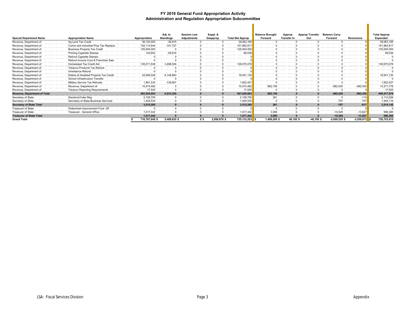#### **FY 2019 General Fund Appropriation Activity Administration and Regulation Appropriation Subcommittee**

| <b>Special Department Name</b>      | <b>Appropriation Name</b>              | Appropriation  | Adj. to<br><b>Standings</b> | <b>Session Law</b><br><b>Adjustments</b> | Suppl. &<br>Deapprop. | <b>Total Net Approp</b> | <b>Balance Brought</b><br>Forward | Approp<br><b>Transfer In</b> | <b>Approp Transfer</b><br>Out | <b>Balance Carry</b><br>Forward | <b>Reversions</b> | <b>Total Approp</b><br>Expended |
|-------------------------------------|----------------------------------------|----------------|-----------------------------|------------------------------------------|-----------------------|-------------------------|-----------------------------------|------------------------------|-------------------------------|---------------------------------|-------------------|---------------------------------|
| Revenue, Department of              | Ag Land Tax Credit                     | 39.100.000     | $-36.815$                   |                                          |                       | 39.063.185              |                                   |                              |                               |                                 |                   | 39,063,185                      |
| Revenue, Department of              | Comm and Industrial Prop Tax Replace   | 152.114.544    | $-151.727$                  |                                          |                       | 151.962.817             |                                   |                              |                               |                                 |                   | 151,962,817                     |
| Revenue, Department of              | <b>Business Property Tax Credit</b>    | 125.000.000    |                             |                                          |                       | 125,000,000             |                                   |                              |                               |                                 |                   | 125,000,000                     |
| Revenue, Department of              | <b>Printing Cigarette Stamps</b>       | 124.652        | $-55.616$                   |                                          |                       | 69.036                  |                                   |                              |                               |                                 |                   | 69,036                          |
| Revenue, Department of              | Refund Cigarette Stamps                |                |                             |                                          |                       |                         |                                   |                              |                               |                                 |                   |                                 |
| Revenue, Department of              | Refund Income Corp & Franchise Sale    |                |                             |                                          |                       |                         |                                   |                              |                               |                                 |                   |                                 |
| Revenue, Department of              | Homestead Tax Credit Aid               | 35.071.538     | 3.498.53                    |                                          |                       | 138.570.07              |                                   |                              |                               |                                 |                   | 138,570,076                     |
| Revenue, Department of              | <b>Tobacco Products Tax Refund</b>     |                |                             |                                          |                       |                         |                                   |                              |                               |                                 |                   |                                 |
| Revenue, Department of              | Inheritance Refund                     |                |                             |                                          |                       |                         |                                   |                              |                               |                                 |                   |                                 |
| Revenue, Department of              | Elderly & Disabled Property Tax Credit | 24.690.028     | $-5.148.893$                |                                          |                       | 19,541,135              |                                   |                              |                               |                                 |                   | 19,541,135                      |
| Revenue, Department of              | School Infrastructure Transfer         |                |                             |                                          |                       |                         |                                   |                              |                               |                                 |                   |                                 |
| Revenue, Department of              | Military Service Tax Refunds           | 1,961,234      | $-138,807$                  |                                          |                       | 1,822,427               |                                   |                              |                               |                                 |                   | 1,822,427                       |
| Revenue, Department of              | Revenue, Department of                 | 15.474.482     |                             |                                          |                       | 15.474.482              | 862.156                           |                              |                               | $-982,430$                      | $-982,430$        | 14,371,778                      |
| Revenue, Department of              | <b>Tobacco Reporting Requirements</b>  | 17.525         |                             |                                          |                       | 17,525                  |                                   |                              |                               |                                 |                   | 17,525                          |
| <b>Revenue, Department of Total</b> |                                        | 493,554,003    | $-2,033,320$                |                                          |                       | 491,520,683             | 862,156                           |                              |                               | $-982,430$                      | $-982,430$        | 490,417,979                     |
| Secretary of State                  | Elections/Voter Rea                    | 2,109,755      |                             |                                          |                       | 2.109.755               | 381                               |                              |                               |                                 | $-110$            | 2,110,026                       |
| Secretary of State                  | Secretary of State-Business Services   | 1,405,530      |                             |                                          |                       | 1,405,530               |                                   |                              |                               | $-707$                          | $-707$            | 1,404,116                       |
| <b>Secretary of State Total</b>     |                                        | 3,515,285      |                             |                                          |                       | 3.515.285               | 381                               |                              |                               | $-707$                          | $-817$            | 3,514,142                       |
| <b>Treasurer of State</b>           | Watershed Improvement Fund GF          |                |                             |                                          |                       |                         |                                   |                              |                               |                                 |                   |                                 |
| Treasurer of State                  | Treasurer - General Office             | 1,017,442      |                             |                                          |                       | 1.017.442               | 3.099                             |                              |                               | $-10,528$                       | $-13,627$         | 996,385                         |
| <b>Treasurer of State Total</b>     |                                        | 1,017,442      |                             |                                          |                       | 1,017,442               | 3.099                             |                              |                               | $-10.528$                       | $-13.627$         | 996,385                         |
| <b>Grand Total</b>                  |                                        | 716,767,649 \$ | 5,408,625\$                 | 0\$                                      | 2,956,979 \$          | 725,133,253 \$          | 1,489,269 \$                      | 40.165\$                     | $-40,165$ \$                  | $-2,609,535$ \$                 | $-3,259,973$ \$   | 720,753,015                     |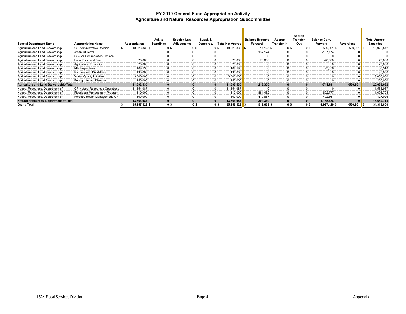#### **FY 2019 General Fund Appropriation Activity Agriculture and Natural Resources Appropriation Subcommittee**

|                                               |                                      |               |           |                    |           |                  |            |                        |                | Approp   |                               |                   |                     |
|-----------------------------------------------|--------------------------------------|---------------|-----------|--------------------|-----------|------------------|------------|------------------------|----------------|----------|-------------------------------|-------------------|---------------------|
|                                               |                                      |               | Adj. to   | <b>Session Law</b> | Suppl. &  |                  |            | <b>Balance Brought</b> | Approp         | Transfer | <b>Balance Carry</b>          |                   | <b>Total Approp</b> |
| <b>Special Department Name</b>                | <b>Appropriation Name</b>            | Appropriation | Standings | Adjustments        | Deapprop. | Total Net Approp |            | Forward                | Transfer In    | Out      | Forward                       | <b>Reversions</b> | Expended            |
| Agriculture and Land Stewardship              | <b>GF-Administrative Division</b>    | 18,023,339 \$ | 0\$       | 0\$                |           | 0 <sup>s</sup>   | 18,023,339 | 11.125 \$              | 0 <sup>5</sup> |          | $-530,961$ \$<br>0\$          | $-530,961$        | 16,972,542          |
| Agriculture and Land Stewardship              | Avian Influenza                      |               |           |                    |           |                  |            | 137.174                |                |          | $-137.174$                    |                   |                     |
| Agriculture and Land Stewardship              | <b>GF-Soil Conservation Division</b> |               |           |                    |           |                  |            |                        |                |          |                               |                   |                     |
| Agriculture and Land Stewardship              | Local Food and Farm                  | 75,000        |           |                    |           |                  | 75,000     | 70,000                 |                |          | $-70,000$                     |                   | 75,000              |
| Agriculture and Land Stewardship              | <b>Agricultural Education</b>        | 25,000        |           |                    |           |                  | 25,000     |                        |                |          |                               |                   | 25,000              |
| Agriculture and Land Stewardship              | Milk Inspections                     | 189.196       |           |                    |           |                  | 189.196    |                        |                |          | $-3.656$                      |                   | 185.540             |
| Agriculture and Land Stewardship              | <b>Farmers with Disabilities</b>     | 130,000       |           |                    |           |                  | 130.000    |                        |                |          |                               |                   | 130.000             |
| Agriculture and Land Stewardship              | Water Quality Initiative             | 3,000,000     |           |                    |           |                  | 3.000.000  |                        |                |          |                               |                   | 3,000,000           |
| Agriculture and Land Stewardship              | Foreign Animal Disease               | 250,000       |           |                    |           |                  | 250.000    |                        |                |          |                               |                   | 250.000             |
| <b>Agriculture and Land Stewardship Total</b> |                                      | 21,692,535    |           |                    |           |                  | 21,692,535 | 218,300                | $\bf{0}$       |          | $-741,791$                    | $-530,961$        | 20,638,082          |
| Natural Resources, Department of              | GF-Natural Resources Operations      | 11,554,987    |           |                    |           |                  | 11,554,987 |                        |                |          |                               |                   | 11,554,987          |
| Natural Resources, Department of              | Floodplain Management Program        | 1,510,000     |           |                    |           |                  | 1,510,000  | 881,482                |                |          | $-692.777$                    |                   | 1,698,705           |
| Natural Resources, Department of              | Forestry Health Management GF        | 500,000       |           |                    |           |                  | 500,000    | 419,887                |                |          | $-492,861$                    |                   | 427,026             |
| <b>Natural Resources, Department of Total</b> |                                      | 13.564.987    |           |                    |           |                  | 13.564.987 | 1.301.369              | $\Omega$       |          | $-1.185.638$                  |                   | 13,680,718          |
| <b>Grand Total</b>                            |                                      | 35,257,522 \$ | 0 S       | 0 S                |           | 0 S              | 35.257.522 | 1.519.669 \$           | 0\$            |          | $-1.927.429$ \$<br><b>0 S</b> | $-530,961$        | 34,318,800          |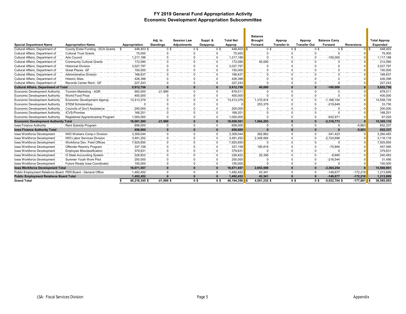## **FY 2019 General Fund Appropriation Activity Economic Development Appropriation Subcommittee**

| <b>Special Department Name</b>                               | <b>Appropriation Name</b>           | Appropriation | Adj. to<br><b>Standings</b> | <b>Session Law</b><br><b>Adiustments</b> | Suppl. &<br>Deapprop. | <b>Total Net</b><br>Approp | <b>Balance</b><br><b>Brought</b><br>Approp<br><b>Transfer In</b><br>Forward | Approp<br><b>Transfer Out</b> |                | <b>Balance Carry</b><br>Forward | <b>Reversions</b> | <b>Total Approp</b><br><b>Expended</b> |
|--------------------------------------------------------------|-------------------------------------|---------------|-----------------------------|------------------------------------------|-----------------------|----------------------------|-----------------------------------------------------------------------------|-------------------------------|----------------|---------------------------------|-------------------|----------------------------------------|
| Cultural Affairs, Department of                              | County Endw Funding - DCA Grants    | 448,403 \$    | 0 <sup>3</sup>              | 0 <sup>3</sup>                           | 0\$                   | 448,403                    | 0\$<br>l S                                                                  | 0 <sup>3</sup>                | 0 <sup>3</sup> | 0 <sup>3</sup>                  | $\Omega$          | 448,403                                |
| Cultural Affairs, Department of                              | <b>Cultural Trust Grants</b>        | 75,000        |                             |                                          | $\Omega$              | 75,000                     | $\Omega$                                                                    | $\Omega$                      |                |                                 |                   | 75,000                                 |
| Cultural Affairs, Department of                              | <b>Arts Council</b>                 | 1,217,188     | $\Omega$                    |                                          | $\Omega$              | 1,217,188                  | $\Omega$                                                                    | <sup>0</sup>                  | $\Omega$       | $-100,000$                      |                   | 1,117,188                              |
| Cultural Affairs, Department of                              | <b>Community Cultural Grants</b>    | 172,090       | $\Omega$                    |                                          | $\Omega$              | 172,090                    | 40,000                                                                      | <sup>0</sup>                  | $\Omega$       |                                 |                   | 212,090                                |
| Cultural Affairs, Department of                              | <b>Historical Division</b>          | 3,027,797     | $\Omega$                    |                                          | $\mathbf 0$           | 3,027,797                  | $\Omega$                                                                    | <sup>0</sup>                  |                |                                 |                   | 3,027,797                              |
| Cultural Affairs, Department of                              | Great Places GF                     | 150,000       | $\Omega$                    | $\Omega$                                 | $\Omega$              | 150,000                    | $\Omega$                                                                    | $\Omega$                      | $\Omega$       | $\Omega$                        |                   | 150,000                                |
| Cultural Affairs, Department of                              | <b>Administrative Division</b>      | 168,637       | $\Omega$                    |                                          | $\Omega$              | 168,637                    | $\Omega$                                                                    | $\Omega$                      | $\Omega$       | $\Omega$                        |                   | 168,637                                |
| Cultural Affairs, Department of                              | <b>Historic Sites</b>               | 426,398       | $\Omega$                    |                                          | $\Omega$              | 426,398                    | $\Omega$                                                                    | $\Omega$                      |                | $\Omega$                        |                   | 426,398                                |
| Cultural Affairs, Department of                              | Records Center Rent - GF            | 227,243       | $\Omega$                    | $\Omega$                                 | $\Omega$              | 227,243                    | $\Omega$                                                                    | $\Omega$                      | $\Omega$       | $\Omega$                        |                   | 227,243                                |
| <b>Cultural Affairs, Department of Total</b>                 |                                     | 5,912,756     | $\mathbf{0}$                |                                          | $\mathbf{0}$          | 5,912,756                  | 40,000                                                                      | $\Omega$                      |                | $-100,000$                      |                   | 5,852,756                              |
| <b>Economic Development Authority</b>                        | Tourism Marketing - AGR             | 900,000       | $-21,989$                   | $\Omega$                                 | $\mathbf{0}$          | 878,011                    | $\Omega$                                                                    | $\Omega$                      | $\Omega$       | $\Omega$                        |                   | 878,011                                |
| <b>Economic Development Authority</b>                        | World Food Prize                    | 400.000       | $\Omega$                    | $\Omega$                                 | $\mathbf{0}$          | 400.000                    | $\Omega$                                                                    | $\Omega$                      |                | $\Omega$                        |                   | 400.000                                |
| <b>Economic Development Authority</b>                        | <b>Economic Development Approp</b>  | 13,413,379    | $\Omega$                    |                                          | $\mathbf{0}$          | 13,413,379                 | 1,310,914                                                                   | $\Omega$                      |                | $-1,166,154$                    |                   | 13,558,139                             |
| <b>Economic Development Authority</b>                        | <b>STEM Scholarships</b>            |               |                             |                                          | $\Omega$              |                            | 253,379                                                                     | <sup>0</sup>                  | $\Omega$       | $-219.649$                      |                   | 33.730                                 |
| <b>Economic Development Authority</b>                        | <b>Councils of Gov't Assistance</b> | 200,000       | $\Omega$                    | $\Omega$                                 | $\Omega$              | 200,000                    | $\Omega$                                                                    | $\Omega$                      | $\Omega$       | $\Omega$                        |                   | 200,000                                |
| <b>Economic Development Authority</b>                        | <b>ICVS-Promise</b>                 | 168,201       |                             |                                          | $\mathbf 0$           | 168,201                    | $\Omega$                                                                    | $\Omega$                      |                |                                 |                   | 168,201                                |
| <b>Economic Development Authority</b>                        | Registered Apprenticeship Program   | 1,000,000     | $\Omega$                    | $\Omega$                                 | $\Omega$              | 1.000.000                  | $\mathbf 0$                                                                 | $\Omega$                      | $\Omega$       | $-932,971$                      |                   | 67.029                                 |
| <b>Economic Development Authority Total</b>                  |                                     | 16,081,580    | $-21.989$                   |                                          | $\bf{0}$              | 16,059,591                 | 1.564.293                                                                   | $\Omega$                      | $\mathbf{r}$   | $-2,318,773$                    | $\Omega$          | 15,305,110                             |
| Iowa Finance Authority                                       | Rent Subsidy Program                | 658,000       | $\Omega$                    | $\Omega$                                 | $\Omega$              | 658,000                    | $\Omega$                                                                    | $\Omega$                      | $\Omega$       | $\Omega$                        | $-5.663$          | 652,337                                |
| <b>Iowa Finance Authority Total</b>                          |                                     | 658.000       | $\mathbf{0}$                | n                                        | $\Omega$              | 658,000                    | $\Omega$                                                                    | $\Omega$                      | $\Omega$       | $\mathbf{0}$                    | $-5.663$          | 652,337                                |
| Iowa Workforce Development                                   | <b>IWD Workers Comp.n Division</b>  | 3,309,044     | $\mathbf 0$                 | $\Omega$                                 | $\mathbf 0$           | 3,309,044                  | 292.862                                                                     | $\Omega$                      | $\Omega$       | $-341,423$                      |                   | 3,260,483                              |
| Iowa Workforce Development                                   | <b>IWD Labor Services Division</b>  | 3,491,252     | 0                           | $\Omega$                                 | $\Omega$              | 3,491,252                  | 2,349,564                                                                   | $\Omega$                      | $\Omega$       | $-2,724,698$                    |                   | 3,116,118                              |
| Iowa Workforce Development                                   | Workforce Dev. Field Offices        | 7,925,650     | $\Omega$                    | $\Omega$                                 | $\Omega$              | 7,925,650                  | $\Omega$                                                                    | $\Omega$                      | $\Omega$       | $\Omega$                        |                   | 7,925,650                              |
| Iowa Workforce Development                                   | Offender Reentry Program            | 337,158       | $\Omega$                    | ŋ                                        | $\Omega$              | 337,158                    | 190,816                                                                     | $\Omega$                      | $\Omega$       | $-70,894$                       |                   | 457,080                                |
| Iowa Workforce Development                                   | Employee Misclassification          | 379,631       | $\Omega$                    |                                          | $\Omega$              | 379,631                    | $\Omega$                                                                    | $\Omega$                      | $\Omega$       |                                 |                   | 379,631                                |
| Iowa Workforce Development                                   | 13 State Accounting System          | 228,822       | $\Omega$                    | ŋ                                        | $\Omega$              | 228,822                    | 20,356                                                                      | $\Omega$                      | $\Omega$       | $-8,695$                        |                   | 240,483                                |
| Iowa Workforce Development                                   | Summer Youth Work Pilot             | 250,000       | $\Omega$                    |                                          | $\Omega$              | 250,000                    | $\Omega$                                                                    | $\Omega$                      | $\Omega$       | $-218,544$                      |                   | 31,456                                 |
| Iowa Workforce Development                                   | Future Ready Iowa Coordinator       | 150,000       | $\Omega$                    | $\Omega$                                 | $\Omega$              | 150,000                    | $\Omega$                                                                    | $\Omega$                      | - 0            | $\Omega$                        |                   | 150,000                                |
| <b>Iowa Workforce Development Total</b>                      |                                     | 16,071,557    | $\mathbf{0}$                |                                          | $\mathbf{0}$          | 16,071,557                 | 2,853,598                                                                   | $\bf{0}$                      |                | $-3,364,254$                    |                   | 15,560,901                             |
| Public Employment Relations Board PER Board - General Office |                                     | 1,492,452     | $^{\circ}$                  | $\Omega$                                 | $\Omega$              | 1,492,452                  | 43,341                                                                      | $\Omega$                      | $\Omega$       | $-149,677$                      | $-172,218$        | 1,213,899                              |
| <b>Public Employment Relations Board Total</b>               |                                     | 1,492,452     |                             |                                          | $\Omega$              | 1,492,452                  | 43,341                                                                      | $\Omega$                      |                | $-149.677$                      | $-172,218$        | 1,213,899                              |
| <b>Grand Total</b>                                           |                                     | 40,216,345 \$ | $-21.989$ \$                | 0 <sup>5</sup>                           | 0 <sup>5</sup>        | 40,194,356                 | 4,501,232 \$                                                                | 0 <sup>s</sup>                | 0\$            | 5,932,704 \$                    | $-177.881$        | 38.585.003<br>l s                      |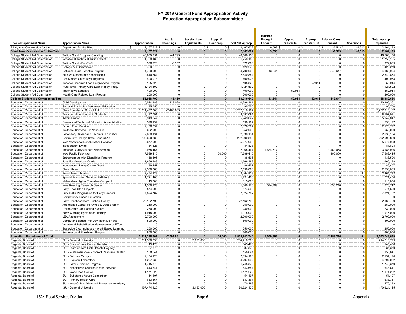#### **FY 2019 General Fund Appropriation Activity Education Appropriation Subcommittee**

| <b>Special Department Name</b>                       | <b>Appropriation Name</b>                                                | Appropriation              | Adj. to<br><b>Standings</b> | <b>Session Law</b><br><b>Adjustments</b> | Suppl. &<br>Deapprop. | <b>Total Net Approp</b>     | <b>Balance</b><br><b>Brought</b><br>Forward | Approp<br><b>Transfer In</b> | Approp<br><b>Transfer Out</b> | <b>Balance Carry</b><br>Forward | <b>Reversions</b> | <b>Total Approp</b><br>Expended |
|------------------------------------------------------|--------------------------------------------------------------------------|----------------------------|-----------------------------|------------------------------------------|-----------------------|-----------------------------|---------------------------------------------|------------------------------|-------------------------------|---------------------------------|-------------------|---------------------------------|
| Blind, Iowa Commission for the                       | Department for the Blind                                                 | 2,167,622 \$<br>\$         | 0 <sup>5</sup>              |                                          | 0 <sup>5</sup>        | 0 <sup>5</sup><br>2,167,622 | 9,598 \$                                    | 0 <sup>5</sup>               |                               | 0\$<br>$-6,513$ \$              | $-6,513$          | 2,164,193                       |
| Blind, Iowa Commission for the Total                 |                                                                          | 2,167,622                  | $\bf{0}$                    | $\bf{0}$                                 | 0                     | 2,167,622                   | 9,598                                       | $\mathbf{0}$                 | $\mathbf{0}$                  | $-6,513$                        | $-6,513$          | 2,164,193                       |
| College Student Aid Commission                       | Tuition Grant Program-Standing                                           | 46,630,951                 | $-44,793$                   | $\Omega$                                 | 0                     | 46,586,158                  | $\Omega$                                    | 0                            | $\Omega$                      | $\Omega$                        |                   | 46,586,158                      |
| College Student Aid Commission                       | Vocational Technical Tuition Grant                                       | 1,750,185                  | $\Omega$                    | $\Omega$                                 | $\Omega$              | 1,750,185                   | $\Omega$                                    | $\Omega$                     | $\Omega$                      | $\Omega$                        |                   | 1,750,185                       |
| College Student Aid Commission                       | Tuition Grant - For-Profit                                               | 376,220                    | $-3,357$                    | $\Omega$                                 |                       | 372,863                     | $\Omega$                                    | $\Omega$                     | $\Omega$                      | $\Omega$                        |                   | 372,863                         |
| College Student Aid Commission                       | College Aid Commission                                                   | 429,279                    | $\Omega$                    | <sup>n</sup>                             |                       | 429,279                     |                                             | $\Omega$                     | $\Omega$                      | $\Omega$                        |                   | 429,279                         |
| College Student Aid Commission                       | National Guard Benefits Program                                          | 4,700,000                  |                             | <sup>0</sup>                             |                       | 4,700,000                   | 13,641                                      | $\Omega$                     | $\Omega$                      | $-543,647$                      |                   | 4,169,994                       |
| College Student Aid Commission                       | All Iowa Opportunity Scholarships                                        | 2,840,854                  | $\Omega$                    | $\Omega$                                 | $\Omega$              | 2,840,854                   |                                             | $\Omega$                     | $\Omega$                      | $\Omega$                        |                   | 2,840,854                       |
| College Student Aid Commission                       | Des Moines University Programs                                           | 400,973                    |                             | $\Omega$                                 |                       | 400,973                     | O                                           | $\Omega$                     |                               | $\Omega$                        |                   | 400,973                         |
| College Student Aid Commission                       | Teacher Shortage Loan Forgiveness Program                                | 105,828                    | $\Omega$                    | $\Omega$                                 | $\Omega$              | 105,828                     | $\Omega$                                    | $\Omega$                     | $-52,914$                     | $\Omega$                        |                   | 52,914                          |
| College Student Aid Commission                       | Rural Iowa Primary Care Loan Repay. Prog.                                | 1,124,502                  | $\Omega$                    | $\Omega$<br>$\Omega$                     | $\Omega$<br>$\Omega$  | 1,124,502                   | $\Omega$<br>$\Omega$                        | $\Omega$                     | $\Omega$<br>$\Omega$          | $\Omega$<br>$\Omega$            |                   | 1,124,502                       |
| College Student Aid Commission                       | <b>Teach Iowa Scholars</b>                                               | 400,000                    |                             |                                          |                       | 400,000                     |                                             | 52,914                       |                               |                                 |                   | 452,914                         |
| College Student Aid Commission                       | Health Care-Related Loan Program                                         | 200,000                    | $\Omega$                    | $\Omega$                                 | $\Omega$              | 200,000                     | $\Omega$                                    | $\Omega$                     | $\Omega$                      | $\Omega$                        |                   | 200,000                         |
| <b>College Student Aid Commission Total</b>          |                                                                          | 58,958,792                 | $-48,150$                   | O                                        | 0                     | 58,910,642                  | 13,641                                      | 52,914                       | $-52,914$                     | $-543,647$                      |                   | 58,380,636                      |
| Education, Department of<br>Education, Department of | <b>Child Development</b><br>Sac and Fox Indian Settlement Education      | 10,524,389<br>95,750       | $-128,028$                  | $\Omega$<br>$\Omega$                     | $\Omega$              | 10,396,361<br>95,750        | O                                           | $\Omega$<br>$\Omega$         | $\Omega$<br>$\Omega$          | $\Omega$<br>$\Omega$            |                   | 10,396,361<br>95,750            |
|                                                      |                                                                          |                            |                             | $\Omega$                                 | $\Omega$              |                             | $\Omega$                                    | $\Omega$                     | $\Omega$                      | $\Omega$                        |                   |                                 |
| Education, Department of<br>Education, Department of | State Foundation School Aid<br><b>Transportation Nonpublic Students</b>  | 3,214,477,000<br>8,197,091 | $-7,466,833$                | $\Omega$                                 | $\Omega$              | 3,207,010,167<br>8,197,091  | $\Omega$                                    | $\Omega$                     | $\Omega$                      | $\Omega$                        |                   | 3,207,010,167<br>8,197,091      |
|                                                      | Administration                                                           | 5,949,047                  |                             | $\Omega$                                 |                       | 5,949,047                   | 0                                           | $\mathbf 0$                  | $\mathbf 0$                   | $\mathbf 0$                     |                   | 5,949,047                       |
| Education, Department of<br>Education, Department of | Career and Technical Education Administration                            | 598,197                    |                             | $\Omega$                                 | $\Omega$              | 598,197                     | $\Omega$                                    | $\Omega$                     | $\Omega$                      | $\Omega$                        |                   | 598,197                         |
|                                                      |                                                                          | 2,176,797                  |                             | $\Omega$                                 |                       |                             | 0                                           | $\mathbf 0$                  | $\mathbf 0$                   | $\mathbf 0$                     |                   | 2,176,797                       |
| Education, Department of<br>Education, Department of | School Food Service<br><b>Textbook Services For Nonpublic</b>            | 652,000                    |                             | $\Omega$                                 |                       | 2,176,797<br>652,000        | $\Omega$                                    | $\Omega$                     | $\Omega$                      | $\Omega$                        |                   | 652,000                         |
| Education, Department of                             | Secondary Career and Technical Education                                 | 2,630,134                  |                             | $\Omega$                                 |                       | 2,630,134                   | $\Omega$                                    | $\mathbf 0$                  | $\mathbf 0$                   | $\mathbf 0$                     |                   | 2,630,134                       |
| Education, Department of                             | Community College State General Aid                                      | 202,690,889                |                             | $\Omega$                                 | $\Omega$              | 202,690,889                 | 0                                           | $\Omega$                     | $\Omega$                      | $\Omega$                        |                   | 202,690,889                     |
| Education, Department of                             | Iowa Vocational Rehabilitation Services                                  | 5,677,908                  |                             | $\Omega$                                 |                       | 5,677,908                   | O                                           | $\mathbf{0}$                 | $\mathbf 0$                   | $\mathbf 0$                     |                   | 5,677,908                       |
| Education, Department of                             | Independent Living                                                       | 84,823                     |                             | $\Omega$                                 |                       | 84,823                      |                                             | $\Omega$                     | $\Omega$                      | $\Omega$                        |                   | 84,823                          |
| Education, Department of                             | Teacher Quality/Student Achievement                                      | 2,965,467                  |                             | $\Omega$                                 |                       | 2,965,467                   | 1,684,517                                   | $\mathbf 0$                  | $\mathbf 0$                   | $-1,461,058$                    |                   | 3,188,926                       |
| Education, Department of                             | Iowa Public Television                                                   | 7,589,415                  |                             | $\Omega$                                 | 100,000               | 7,689,415                   | $\Omega$                                    | $\Omega$                     | $\Omega$                      | $-100,000$                      |                   | 7,589,415                       |
| Education, Department of                             | Entrepreneurs with Disabilities Program                                  | 138,506                    |                             | $\Omega$                                 |                       | 138,506                     | ŋ                                           | $\mathbf 0$                  | $\mathbf 0$                   | $\mathbf 0$                     |                   | 138,506                         |
| Education, Department of                             | Jobs For America's Grads                                                 | 1,666,188                  |                             | $\Omega$                                 |                       | 1,666,188                   | O                                           | $\Omega$                     | $\Omega$                      | $\Omega$                        |                   | 1,666,188                       |
| Education, Department of                             | Independent Living Center Grant                                          | 86,457                     |                             | $\Omega$                                 |                       | 86,457                      | $\Omega$                                    | $\mathbf 0$                  | $\mathbf 0$                   | $\mathbf 0$                     |                   | 86,457                          |
| Education, Department of                             | State Library                                                            | 2,530,063                  |                             | $\Omega$                                 |                       | 2,530,063                   | 0                                           | $\Omega$                     | $\Omega$                      | $\Omega$                        |                   | 2,530,063                       |
| Education, Department of                             | Enrich Iowa Libraries                                                    | 2,464,823                  |                             | $\Omega$                                 |                       | 2,464,823                   | $\Omega$                                    | $\mathbf 0$                  | $\mathbf 0$                   | $\mathbf 0$                     | $-91$             | 2,464,732                       |
| Education, Department of                             | Special Education Services Birth to 3                                    | 1,721,400                  |                             | $\Omega$                                 |                       | 1,721,400                   | $\Omega$                                    | $\Omega$                     | $\Omega$                      | $\Omega$                        |                   | 1,721,400                       |
| Education, Department of                             | Midwestern Higher Education Compact                                      | 115,000                    |                             | $\Omega$                                 |                       | 115,000                     | U                                           | $\Omega$                     | $\Omega$                      | $\Omega$                        |                   | 115,000                         |
| Education, Department of                             | lowa Reading Research Center                                             | 1,300,176                  |                             | $\Omega$                                 | $\Omega$              | 1,300,176                   | 374,789                                     | $\Omega$                     | $\Omega$                      | $-598,218$                      |                   | 1,076,747                       |
| Education, Department of                             | Early Head Start Projects                                                | 574,500                    |                             | $\Omega$                                 |                       | 574,500                     |                                             | $\Omega$                     | $\Omega$                      | $\Omega$                        |                   | 574,500                         |
| Education, Department of                             | Successful Progression for Early Readers                                 | 7,824,782                  |                             | $\Omega$                                 | $\Omega$              | 7,824,782                   |                                             | $\Omega$                     | $\Omega$                      | $\Omega$                        |                   | 7,824,782                       |
| Education, Department of                             | Competency-Based Education                                               | $\Omega$                   |                             | U                                        |                       |                             | U                                           | $\Omega$                     | $\Omega$                      | $\Omega$                        |                   |                                 |
| Education, Department of                             | Early Childhood Iowa - School Ready                                      | 22, 162, 799               |                             | $\Omega$                                 | $\Omega$              | 22, 162, 799                | 0                                           | $\Omega$                     | $\Omega$                      | $\Omega$                        |                   | 22, 162, 799                    |
| Education, Department of                             | Attendance Center Perf/Web & Data System                                 | 250,000                    |                             | $\Omega$                                 |                       | 250,000                     | <sup>0</sup>                                | $\Omega$                     | $\Omega$                      | $\Omega$                        |                   | 250,000                         |
| Education, Department of                             | Online State Job Posting System                                          | 230,000                    |                             | $\Omega$                                 | $\Omega$              | 230,000                     | 0                                           | $\Omega$                     | $\Omega$                      | $\overline{0}$                  |                   | 230,000                         |
| Education, Department of                             | Early Warning System for Literacy                                        | 1,915,000                  |                             | $\Omega$                                 |                       | 1,915,000                   | $\Omega$                                    | $\Omega$                     | $\Omega$                      | $\overline{0}$                  |                   | 1,915,000                       |
| Education, Department of                             | <b>LEA Assessment</b>                                                    | 2,700,000                  | $\Omega$                    | $\Omega$                                 | $\Omega$              | 2,700,000                   | 0                                           | $\Omega$                     | $\Omega$                      | $\overline{0}$                  |                   | 2,700,000                       |
| Education, Department of                             | Computer Science Prof Dev Incentive Fund                                 | 500,000                    | $\Omega$                    | $\Omega$                                 |                       | 500,000                     | $\Omega$                                    | $\Omega$                     | $\Omega$                      | $\Omega$                        |                   | 500,000                         |
| Education, Department of                             | Vocational Rehabilitation Maintenance of Effort                          | $\Omega$                   | $\Omega$                    | $\Omega$                                 |                       |                             | 0                                           | $\Omega$                     | $\Omega$                      | $\overline{0}$                  |                   |                                 |
| Education, Department of                             | Statewide Clearinghouse - Work-Based Learning                            | 250,000                    |                             | $\Omega$                                 |                       | 250,000                     | $\Omega$                                    | $\Omega$                     | $\mathbf 0$                   | $\overline{0}$                  | $\Omega$          | 250,000                         |
| Education, Department of                             | Summer Joint Enrollment Program                                          | 600,000                    |                             | $\Omega$                                 |                       | 600.000                     | $\Omega$                                    | $\Omega$                     | $\Omega$                      | $\Omega$                        | $\Omega$          | 600,000                         |
| <b>Education, Department of Total</b>                |                                                                          | 3,511,338,601              | $-7,594,861$                | 0                                        | 100,000               | 3,503,843,740               | 2,059,306                                   | $\mathbf{0}$                 | $\Omega$                      | $-2,159,276$                    | $-91$             | 3,503,743,679                   |
| Regents, Board of                                    | SUI - General University                                                 | 211,560,793                | $\Omega$                    | 3,150,000                                | $\Omega$              | 214,710,793                 | $\Omega$                                    | 0                            | $\mathbf 0$                   | 0                               |                   | 214,710,793                     |
| Regents, Board of                                    | SUI - State of Iowa Cancer Registry                                      | 145,476                    |                             | $\Omega$                                 |                       | 145,476                     | $\Omega$                                    | $\mathbf 0$                  | $\mathbf 0$                   | $\mathbf 0$                     | $\Omega$          | 145,476                         |
| Regents, Board of                                    | SUI - State of Iowa Birth Defects Registry                               | 37,370                     |                             | $\Omega$                                 |                       | 37,370                      | 0                                           | $\Omega$                     | $\Omega$                      | $\Omega$                        |                   | 37,370                          |
| Regents, Board of                                    | SUI - Waterman Iowa Nonprofit Resource Center                            | 158,641                    |                             | $\Omega$                                 |                       | 158,641                     | $\Omega$                                    | $\mathbf 0$                  | $\mathbf 0$                   | $\Omega$                        |                   | 158,641                         |
| Regents, Board of                                    | SUI - Oakdale Campus                                                     | 2,134,120                  | $\Omega$                    | $\Omega$                                 | <sup>0</sup>          | 2,134,120                   | 0                                           | $\Omega$                     | $\Omega$                      | $\Omega$                        |                   | 2,134,120                       |
| Regents, Board of                                    | SUI - Hygienic Laboratory                                                | 4,297,032                  |                             | $\Omega$                                 |                       | 4,297,032                   | $\Omega$                                    | $\mathbf 0$                  | $\mathbf 0$                   | $\overline{0}$                  |                   | 4,297,032                       |
| Regents, Board of                                    | SUI - Family Practice Program                                            | 1,745,379                  |                             | $\Omega$                                 | $\Omega$              | 1,745,379                   | $\Omega$                                    | $\Omega$                     | $\Omega$                      | $\Omega$                        |                   | 1,745,379                       |
| Regents, Board of                                    | SUI - Specialized Children Health Services                               | 643,641                    |                             | $\Omega$                                 | $^{\circ}$            | 643,641                     | $\Omega$                                    | $\mathbf 0$                  | $\mathbf 0$                   | $\mathbf 0$                     |                   | 643,641                         |
| Regents, Board of                                    | SUI - Iowa Flood Center                                                  | 1,171,222                  |                             | $\Omega$                                 | $\Omega$              | 1,171,222                   | $\Omega$                                    | $\Omega$                     | $\Omega$                      | $\Omega$                        |                   | 1,171,222                       |
| Regents, Board of                                    | SUI - Substance Abuse Consortium                                         | 54,197                     |                             | $\Omega$                                 |                       | 54,197                      | $\Omega$                                    | $\mathbf 0$                  | $\Omega$                      | $\mathbf 0$                     |                   | 54,197                          |
| Regents, Board of                                    | SUI - Primary Health Care                                                | 633,367                    | $\Omega$                    | $\Omega$<br>$\Omega$                     |                       | 633,367                     | $\Omega$<br>$\Omega$                        | $\Omega$<br>$\mathbf 0$      | $\Omega$                      | $\Omega$<br>$\mathbf 0$         |                   | 633,367                         |
| Regents, Board of<br>Regents, Board of               | SUI - Iowa Online Advanced Placement Academy<br>ISU - General University | 470,293<br>167,474,125     |                             | 3,150,000                                |                       | 470,293<br>170,624,125      | O                                           |                              | $\mathbf 0$<br>$\Omega$       | $\Omega$                        |                   | 470,293<br>170,624,125          |
|                                                      |                                                                          |                            |                             |                                          |                       |                             |                                             |                              |                               |                                 |                   |                                 |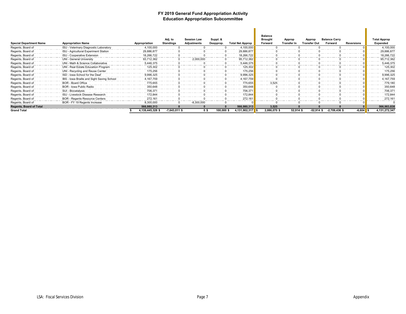#### **FY 2019 General Fund Appropriation Activity Education Appropriation Subcommittee**

|                                |                                              |                  |                             |                                   |                       |                         | <b>Balance</b>            |                              |                               |                                 |            |                                 |
|--------------------------------|----------------------------------------------|------------------|-----------------------------|-----------------------------------|-----------------------|-------------------------|---------------------------|------------------------------|-------------------------------|---------------------------------|------------|---------------------------------|
| <b>Special Department Name</b> | <b>Appropriation Name</b>                    | Appropriation    | Adj. to<br><b>Standings</b> | <b>Session Law</b><br>Adjustments | Suppl. &<br>Deapprop. | <b>Total Net Approp</b> | <b>Brought</b><br>Forward | Approp<br><b>Transfer In</b> | Approp<br><b>Transfer Out</b> | <b>Balance Carry</b><br>Forward | Reversions | <b>Total Approp</b><br>Expended |
| Regents, Board of              | ISU - Veterinary Diagnostic Laboratory       | 4.100.000        |                             |                                   |                       | 4,100,000               |                           |                              |                               |                                 |            | 4,100,000                       |
| Regents, Board of              | <b>ISU - Agricultural Experiment Station</b> | 29,886,877       |                             |                                   |                       | 29,886,877              |                           |                              |                               |                                 |            | 29,886,877                      |
| Regents, Board of              | ISU - Cooperative Extension                  | 18,266,722       |                             |                                   |                       | 18.266.722              |                           |                              |                               |                                 |            | 18,266,722                      |
| Regents, Board of              | <b>UNI - General University</b>              | 93,712,362       |                             | 2.000.000                         |                       | 95,712,362              |                           |                              |                               |                                 |            | 95,712,362                      |
| Regents, Board of              | UNI - Math & Science Collaborative           | 5.446.375        |                             |                                   |                       | 5,446,375               |                           |                              |                               |                                 |            | 5,446,375                       |
| Regents, Board of              | UNI - Real Estate Education Program          | 125,302          |                             |                                   |                       | 125,302                 |                           |                              |                               |                                 |            | 125,302                         |
| Regents, Board of              | UNI - Recycling and Reuse Center             | 175.256          |                             |                                   |                       | 175,256                 |                           |                              |                               |                                 |            | 175,256                         |
| Regents, Board of              | ISD - Iowa School for the Deaf               | 9.996.325        |                             |                                   |                       | 9,996,325               |                           |                              |                               |                                 |            | 9,996,325                       |
| Regents, Board of              | IBS - Iowa Braille and Sight Saving School   | 4,167,759        |                             |                                   |                       | 4,167,759               |                           |                              |                               |                                 |            | 4,167,759                       |
| Regents, Board of              | <b>BOR</b> - Board Office                    | 775,655          |                             |                                   |                       | 775,655                 | 3.525                     |                              |                               |                                 |            | 779,180                         |
| Regents, Board of              | BOR - Iowa Public Radio                      | 350.648          |                             |                                   |                       | 350.648                 |                           |                              |                               |                                 |            | 350,648                         |
| Regents, Board of              | SUI - Biocatalysis                           | 706,371          |                             |                                   |                       | 706,371                 |                           |                              |                               |                                 |            | 706,371                         |
| Regents, Board of              | ISU - Livestock Disease Research             | 172.844          |                             |                                   |                       | 172.844                 |                           |                              |                               |                                 |            | 172,844                         |
| Regents, Board of              | <b>BOR - Regents Resource Centers</b>        | 272.161          |                             |                                   |                       | 272.161                 |                           |                              |                               |                                 |            | 272,161                         |
| Regents, Board of              | BOR - FY 19 Regents Increase                 | 8,300,000        |                             | $-8,300,000$                      |                       |                         |                           |                              |                               |                                 |            |                                 |
| <b>Regents, Board of Total</b> |                                              | 566,980,313      |                             |                                   |                       | 566,980,313             | 3.525                     |                              |                               |                                 |            | 566,983,838                     |
| <b>Grand Total</b>             |                                              | 4,139,445,328 \$ | $-7.643.011$ \$             | 0 \$                              | 100.000 \$            | 4,131,902,317           | 2,086,070 \$              | 52,914 \$                    | $-52,914$ \$                  | $-2,709,436$ \$                 | $-6,604$   | 4,131,272,347                   |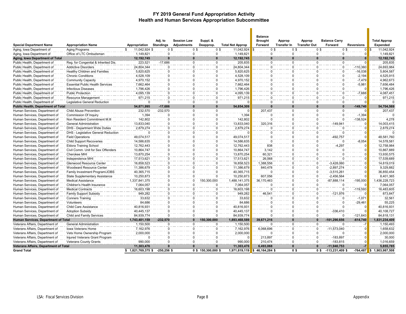#### **FY 2019 General Fund Appropriation Activity Health and Human Services Appropriation Subcommittee**

|                                              |                                         |                     |                             |                                   |                       |                              | <b>Balance</b>            |                              |                               |                                 |                            |                                   |
|----------------------------------------------|-----------------------------------------|---------------------|-----------------------------|-----------------------------------|-----------------------|------------------------------|---------------------------|------------------------------|-------------------------------|---------------------------------|----------------------------|-----------------------------------|
| <b>Special Department Name</b>               | <b>Appropriation Name</b>               | Appropriation       | Adj. to<br><b>Standings</b> | <b>Session Law</b><br>Adjustments | Suppl. &<br>Deapprop. | <b>Total Net Approp</b>      | <b>Brought</b><br>Forward | Approp<br><b>Transfer In</b> | Approp<br><b>Transfer Out</b> | <b>Balance Carry</b><br>Forward | <b>Reversions</b>          | <b>Total Approp</b><br>Expended   |
| Aging, Iowa Department of                    | Aging Programs                          | 11,042,924 \$<br>\$ | 0 <sup>3</sup>              | 0\$                               |                       | 0 <sup>3</sup><br>11,042,924 | l \$                      | 0 <sup>5</sup>               | 0 <sup>5</sup>                | 0 <sup>5</sup>                  | 0 <sup>5</sup><br>$\Omega$ | 11,042,924<br>\$                  |
| Aging, Iowa Department of                    | Office of LTC Ombudsman                 | 1,149,821           | $\mathbf 0$                 | $\Omega$                          | $\Omega$              | 1,149,821                    | $\mathbf 0$               | $\Omega$                     | $\Omega$                      | $\mathbf 0$                     |                            | 1,149,821                         |
| Aging, Iowa Department of Total              |                                         | 12,192,745          | $\mathbf{0}$                | $\Omega$                          |                       | 12,192,745<br>$\mathbf{0}$   | $\Omega$                  |                              | $\Omega$                      | $\Omega$                        |                            | 12,192,745                        |
| Public Health, Department of                 | Reg. for Congenital & Inherited Dis.    | 223,521             | $-17,686$                   | $\Omega$                          | $\Omega$              | 205,835                      | $\Omega$                  | $\Omega$                     | $\Omega$                      | $\mathbf 0$                     |                            | 205,835                           |
| Public Health, Department of                 | <b>Addictive Disorders</b>              | 24,804,344          | $\mathbf 0$                 | $\Omega$                          | $\Omega$              | 24,804,344                   | $\Omega$                  | $\Omega$                     | $\Omega$                      | $\Omega$                        | $-110,360$                 | 24,693,984                        |
| Public Health, Department of                 | Healthy Children and Families           | 5,820,625           | $\mathbf 0$                 | $\Omega$                          | $\Omega$              | 5,820,625                    | $\Omega$                  | $\Omega$                     | $\Omega$                      | $\Omega$                        | $-16,038$                  | 5,804,587                         |
| Public Health, Department of                 | <b>Chronic Conditions</b>               | 4,528,109           | $\mathbf 0$                 | $\Omega$                          | $\Omega$              | 4,528,109                    | $\Omega$                  | $\Omega$                     | $\Omega$                      | $\Omega$                        | $-2,194$                   | 4.525.915                         |
| Public Health, Department of                 | <b>Community Capacity</b>               | 4,970,152           | $\mathbf 0$                 | $\Omega$                          | $\Omega$              | 4.970.152                    | $\Omega$                  | $\Omega$                     | $\Omega$                      | $\mathbf 0$                     | $-7,479$                   | 4,962,673                         |
| Public Health, Department of                 | <b>Essential Public Health Services</b> | 7,662,464           | $\mathbf 0$                 | $\mathbf 0$                       | $\Omega$              | 7,662,464                    | $\Omega$                  | $\Omega$                     | $\Omega$                      | $\mathbf 0$                     | $-5,981$                   | 7,656,484                         |
| Public Health, Department of                 | <b>Infectious Diseases</b>              | 1,796,426           | $\mathbf 0$                 | U                                 |                       | $\Omega$<br>1,796,426        | $\Omega$                  |                              | $\Omega$                      | $\Omega$                        |                            | 1,796,426                         |
| Public Health, Department of                 | <b>Public Protection</b>                | 4,095,139           | $\mathbf 0$                 | $\Omega$                          |                       | $\Omega$<br>4,095,139        | $\Omega$                  | $\Omega$                     | $\Omega$                      | $\Omega$                        | $-7,688$                   | 4,087,451                         |
| Public Health, Department of                 | Resource Management                     | 971.215             | $\mathbf 0$                 | $\Omega$                          | $\Omega$              | 971,215                      | $\Omega$                  | $\Omega$                     | $\Omega$                      | $\Omega$                        |                            | 971,215                           |
| Public Health, Department of                 | Legislative General Reduction           | $\Omega$            | $\Omega$                    | $\Omega$                          | $\Omega$              |                              | $\Omega$                  | $\Omega$                     | $\Omega$                      | $\Omega$                        |                            | $\Omega$                          |
| <b>Public Health, Department of Total</b>    |                                         | 54,871,995          | $-17,686$                   | $\Omega$                          |                       | 54,854,309<br>$\mathbf{0}$   | $\Omega$                  | $\Omega$                     | $\mathbf{0}$                  | $\mathbf{0}$                    | $-149,740$                 | 54,704,569                        |
| Human Services, Department of                | <b>Child Abuse Prevention</b>           | 232,570             | $-232,570$                  | $\Omega$                          | $\Omega$              | $\Omega$                     | 207.437                   | $\Omega$                     | $\Omega$                      | $\mathbf 0$                     |                            | 207,437                           |
| Human Services, Department of                | <b>Commission Of Inquiry</b>            | 1,394               | $\Omega$                    | $\mathbf 0$                       | $\Omega$              | 1,394                        | $\Omega$                  | $\Omega$                     | $\Omega$                      | $\Omega$                        | $-1,394$                   |                                   |
| Human Services, Department of                | Non Resident Commitment M.II            | 142,802             | $\mathbf 0$                 | $\Omega$                          |                       | $\mathbf 0$<br>142.802       | $\Omega$                  | $\Omega$                     | $\Omega$                      | $\Omega$                        | $-138,524$                 | 4,278                             |
| Human Services, Department of                | <b>General Administration</b>           | 13,833,040          | $\mathbf 0$                 | $\Omega$                          | $\Omega$              | 13,833,040                   | 320,316                   | $\Omega$                     | $\Omega$                      | $-149,941$                      |                            | 14,003,415                        |
| Human Services, Department of                | <b>DHS</b> - Department Wide Duties     | 2.879.274           | $\mathbf 0$                 | $\Omega$                          |                       | 2,879,274<br>$\Omega$        | $\Omega$                  | $\Omega$                     | $\Omega$                      | $\Omega$                        |                            | 2,879,274                         |
| Human Services, Department of                | DHS - Legislative General Reduction     | $\Omega$            | $\mathsf 0$                 | $\Omega$                          |                       | $\Omega$                     | $\Omega$                  | $\Omega$                     | $\Omega$                      |                                 |                            |                                   |
| Human Services, Department of                | <b>Field Operations</b>                 | 49,074,517          | $\mathsf 0$                 | $\mathbf 0$                       | $\mathbf 0$           | 49,074,517                   | $\Omega$                  | $\Omega$                     | $\mathbf 0$                   | $-492,757$                      |                            | 48,581,760                        |
| Human Services, Department of                | <b>Child Support Recoveries</b>         | 14,586,635          | $\mathbf 0$                 | $\Omega$                          | $\Omega$              | 14,586,635                   | $\Omega$                  | $\Omega$                     | $\Omega$                      | $\Omega$                        | $-8,054$                   | 14.578.581                        |
| Human Services, Department of                | <b>Eldora Training School</b>           | 12,762,443          | $\mathsf 0$                 | $\Omega$                          | $\Omega$              | 12,762,443                   | 838                       | $\Omega$                     | $\Omega$                      | $-4,297$                        |                            | 12,758,984                        |
| Human Services, Department of                | Civil Comm. Unit for Sex Offenders      | 10,864,747          | $\mathbf 0$                 | $\Omega$                          | $\Omega$              | 10,864,747                   | 3,142                     | $\Omega$                     | $\Omega$                      | $\Omega$                        |                            | 10,867,889                        |
| Human Services, Department of                | Cherokee MHI                            | 13,870,254          | $\mathbf 0$                 | $\Omega$                          | $\Omega$              | 13,870,254                   | 60,321                    | $\Omega$                     | $\Omega$                      | $\Omega$                        |                            | 13,930,575                        |
| Human Services, Department of                | Independence MHI                        | 17,513,621          | $\mathbf 0$                 | $\Omega$                          |                       | $\mathbf 0$<br>17,513,621    | 26,068                    | $\Omega$                     | $\Omega$                      | $\Omega$                        |                            | 17,539,689                        |
| Human Services, Department of                | Glenwood Resource Center                | 16,858,523          | $\mathbf 0$                 | $\Omega$                          | $\Omega$              | 16,858,523                   | 1,388,556                 | $\Omega$                     | $\Omega$                      | $-3,428,060$                    |                            | 14,819,019                        |
| Human Services, Department of                | <b>Woodward Resource Center</b>         | 11,386,679          | $\overline{0}$              | 0                                 |                       | 11,386,679<br>$\Omega$       | 840,478                   |                              | $\Omega$                      | $-2,897,274$                    |                            | 9,329,882                         |
| Human Services, Department of                | Family Investment Program/JOBS          | 40,365,715          | $\mathbf 0$                 | $\Omega$                          | $\Omega$              | 40,365,715                   | $\Omega$                  | $\Omega$                     | $\Omega$                      | $-3,515,261$                    |                            | 36,850,454                        |
| Human Services, Department of                | <b>State Supplementary Assistance</b>   | 10,250,873          | $\mathsf 0$                 | 0                                 |                       | $\Omega$<br>10,250,873       | 607,056                   | $\Omega$                     | $\Omega$                      | $-2,456,564$                    |                            | 8,401,365                         |
| Human Services, Department of                | <b>Medical Assistance</b>               | 1,337,841,375       | $\mathbf 0$                 | $\mathbf 0$                       | 150,300,000           | 1,488,141,375                | 36,170,463                | $\Omega$                     | $\Omega$                      | -87,888,114                     | $-195,000$                 | 1,436,228,723                     |
| Human Services, Department of                | Children's Health Insurance             | 7,064,057           | $\mathsf 0$                 | 0                                 | $\Omega$              | 7,064,057                    | $\Omega$                  | $\Omega$                     | $\Omega$                      | $\Omega$                        |                            | 7,064,057                         |
| Human Services, Department of                | <b>Medical Contracts</b>                | 16,603,198          | $\mathbf 0$                 | $\Omega$                          | $\Omega$              | 16.603.198                   | $\Omega$                  | $\Omega$                     | $\Omega$                      | $\Omega$                        | $-119.593$                 | 16.483.605                        |
| Human Services, Department of                | <b>Family Support Subsidy</b>           | 949.282             | $\mathbf 0$                 | $\mathbf 0$                       | $\Omega$              | 949,282                      | 46.541                    | $\Omega$                     | $\Omega$                      | $-121.976$                      |                            | 873.847                           |
| Human Services, Department of                | <b>Conners Training</b>                 | 33,632              | $\mathbf 0$                 | $\Omega$                          | $\Omega$              | 33,632                       | $\Omega$                  | $\Omega$                     | $\Omega$                      | $\Omega$                        | $-1,071$                   | 32,561                            |
| Human Services, Department of                | Volunteers                              | 84.686              | $\mathbf 0$                 | $\Omega$                          |                       | 84,686<br>$\Omega$           | $\Omega$                  | $\Omega$                     | $\Omega$                      | $\Omega$                        | $-29,461$                  | 55.225                            |
| Human Services, Department of                | <b>Child Care Assistance</b>            | 40,816,931          | $\mathbf 0$                 | $\Omega$                          |                       | 40,816,931<br>$\Omega$       | $\Omega$                  | $\Omega$                     | $\Omega$                      | $\Omega$                        |                            | 40,816,931                        |
| Human Services, Department of                | <b>Adoption Subsidy</b>                 | 40,445,137          | $\mathbf 0$                 | $\Omega$                          | $\Omega$              | 40,445,137                   | $\Omega$                  | $\Omega$                     | $\Omega$                      | $-336,410$                      |                            | 40,108,727                        |
| Human Services, Department of                | <b>Child and Family Services</b>        | 84,939,774          | $\mathbf 0$                 | $\Omega$                          | $\Omega$              | 84,939,774                   | $\Omega$                  | $\Omega$                     | $\Omega$                      | $\Omega$                        | $-121.643$                 | 84.818.131                        |
| Human Services, Department of Total          |                                         | 1,743,401,159       | $-232.570$                  | $\mathbf{0}$                      | 150,300,000           | 1,893,468,589                | 39,671,216                | $\mathbf{0}$                 | $\mathbf{0}$                  | $-101.290.656$                  | $-614,740$                 | 1,831,234,409                     |
| Veterans Affairs, Department of              | <b>General Administration</b>           | 1,150,500           | $\mathbf 0$                 | $\Omega$                          | $\Omega$              | 1,150,500                    | $\Omega$                  | $\Omega$                     | $\Omega$                      | $\Omega$                        |                            | 1,150,493                         |
| Veterans Affairs, Department of              | <b>Iowa Veterans Home</b>               | 7,162,976           | $\Omega$                    | $\Omega$                          | $\Omega$              | 7,162,976                    | 6.068.696                 | $\Omega$                     | $\Omega$                      | $-11,573,040$                   |                            | 1.658.632                         |
| Veterans Affairs, Department of              | Vets Home Ownership Program             | 2,000,000           | $\mathbf 0$                 | $\Omega$                          | $\Omega$              | 2,000,000                    | $\Omega$                  | $\Omega$                     | $\Omega$                      | $\Omega$                        |                            | 2,000,000                         |
| Veterans Affairs, Department of              | Injured Veterans Grant Program          | $\Omega$            | $\mathbf 0$                 | $\Omega$                          | $\Omega$              |                              | 213,897                   | $\Omega$                     | $\Omega$                      | $-183,897$                      |                            | 30,000                            |
| Veterans Affairs, Department of              |                                         | 990,000             | $\mathbf 0$                 | $\Omega$                          |                       | 990,000<br>$\Omega$          | 210,474                   | $\Omega$                     | $\Omega$                      | $-183,815$                      |                            | 1,016,659                         |
| <b>Veterans Affairs, Department of Total</b> | <b>Veterans County Grants</b>           | 11,303,476          | $\mathbf{0}$                | $\Omega$                          |                       | 11,303,476<br>$\mathbf{0}$   | 6,493,068                 | $\Omega$                     | $\Omega$                      | $-11,940,753$                   | $-7$                       | 5,855,785                         |
| <b>Grand Total</b>                           |                                         | $$1,821,769,375$ \$ | $-250,256$ \$               |                                   | 0 \$ 150,300,000 \$   | 1,971,819,119                | 46, 164, 284 \$<br>l\$    |                              | 0 <sup>5</sup>                | $-113,231,409$ \$<br>0\$        | $-764,487$                 | $\ddot{\bullet}$<br>1,903,987,508 |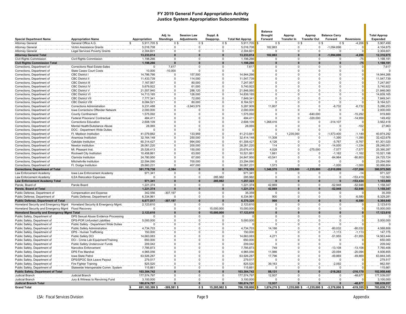#### **FY 2019 General Fund Appropriation Activity Justice System Appropriation Subcommittee**

П

|                                            |                                        |                                           |                      |                    |                      |                         | <b>Balance</b> |                     |                     |                         |                   |                     |
|--------------------------------------------|----------------------------------------|-------------------------------------------|----------------------|--------------------|----------------------|-------------------------|----------------|---------------------|---------------------|-------------------------|-------------------|---------------------|
|                                            |                                        |                                           | Adj. to              | <b>Session Law</b> | Suppl. &             |                         | <b>Brought</b> | Approp              | Approp              | <b>Balance Carry</b>    |                   | <b>Total Approp</b> |
| <b>Special Department Name</b>             | <b>Appropriation Name</b>              | Appropriation                             | <b>Standings</b>     | <b>Adjustments</b> | Deapprop.            | <b>Total Net Approp</b> | Forward        | <b>Transfer In</b>  | <b>Transfer Out</b> | Forward                 | <b>Reversions</b> | Expended            |
| <b>Attorney General</b>                    | General Office A.G.                    | 5,911,705 \$                              | 0 <sup>s</sup>       | 0\$                | 0\$                  | 5,911,705               | 0 <sup>5</sup> |                     | 0\$<br>0\$          | 0 <sup>5</sup>          | $-4,206$          | 5,907,499           |
| <b>Attorney General</b>                    | Victim Assistance Grants               | 5,016,708                                 | $\Omega$             | $\Omega$           | $\Omega$             | 5,016,708               | 182,863        | $\Omega$            | $\Omega$            | $-1,094,696$            |                   | 4,104,875           |
| <b>Attorney General</b>                    | <b>Legal Services Poverty Grants</b>   | 2,304,601                                 | $\Omega$             | $\Omega$           | $\Omega$             | 2,304,601               | $\Omega$       | $\Omega$            | 0                   | $\Omega$                |                   | 2,304,601           |
| <b>Attorney General Total</b>              |                                        | 13,233,014                                | 0                    | $\mathbf{0}$       |                      | 13,233,014              | 182,863        | $\bf{0}$            | 0                   | $-1,094,696$            | $-4,206$          | 12,316,975          |
| Civil Rights Commission                    | Civil Rights Commission                | 1,198,266                                 | $\Omega$             | $\Omega$           | $\Omega$             | 1,198,266               | $\Omega$       | $\Omega$            | $\Omega$            | $\Omega$                | $-75$             | 1,198,191           |
| <b>Civil Rights Commission Total</b>       |                                        | 1,198,266                                 | $\bf{0}$             | $\bf{0}$           |                      | 1,198,266               | $\mathbf{0}$   | $\bf{0}$            | 0                   | $\mathbf{0}$            | $-75$             | 1,198,191           |
| Corrections, Department of                 | <b>Corrections Real Estate-Sales</b>   | 0                                         | 7,617                | $\Omega$           | $\Omega$             | 7,617                   | $\Omega$       | $\Omega$            | 0                   | $\Omega$                |                   | 7,617               |
| Corrections, Department of                 | State Cases Court Costs                | 10,000                                    | $-10,000$            | $\Omega$           | $\Omega$             |                         | $\Omega$       | $\Omega$            | 0                   | $\overline{0}$          |                   |                     |
| Corrections, Department of                 | <b>CBC District I</b>                  | 14,786,766                                | $\Omega$             | 157.500            | $\Omega$             | 14,944,266              | $\Omega$       | $\Omega$            | $\Omega$            | $\Omega$                |                   | 14,944,266          |
| Corrections, Department of                 | <b>CBC District II</b>                 | 11,433,739                                | $\Omega$             | 114,000            |                      | 11,547,739              | $\Omega$       | 0                   | $\mathbf 0$         | $\mathbf 0$             |                   | 11,547,739          |
| Corrections, Department of                 | <b>CBC District III</b>                | 7,167,957                                 | $\Omega$             | 80,000             |                      | 7,247,957               | $\Omega$       | $\Omega$            | $\Omega$            | $\Omega$                |                   | 7,247,957           |
| Corrections, Department of                 | <b>CBC District IV</b>                 | 5,679,922                                 | $\Omega$             | 61,000             |                      | 5,740,922               | $\Omega$       | $\Omega$            | 0                   | $\Omega$                |                   | 5,740,922           |
| Corrections, Department of                 | <b>CBC District V</b>                  | 21,557,940                                | $\Omega$             | 288,120            | $\Omega$             | 21,846,060              | $\Omega$       | $\Omega$            | 0                   | $\Omega$                |                   | 21,846,060          |
| Corrections, Department of                 | <b>CBC District VI</b>                 | 14,713,165                                | $\Omega$             | 126.000            |                      | 14,839,165              | $\Omega$       | $\Omega$            | 0                   | $\Omega$                |                   | 14,839,165          |
| Corrections, Department of                 | <b>CBC District VII</b>                | 7,777,341                                 | $\Omega$             | 72,000             |                      | 7,849,341               | $\Omega$       | $\Omega$            | $\Omega$            | $\Omega$                |                   | 7,849,341           |
| Corrections, Department of                 | <b>CBC District VIII</b>               | 8,084,521                                 | $\Omega$             | 80,000             |                      | 8,164,521               |                | $\Omega$            | 0                   | $\Omega$                |                   | 8,164,521           |
| Corrections, Department of                 | <b>Corrections Administration</b>      | 9,231,488                                 | $\Omega$             | $-3,943,579$       |                      | 5,287,909               | 11.807         | $\Omega$            | $\Omega$            | $-6,732$                | $-6,732$          | 5,286,253           |
| Corrections, Department of                 | Iowa Corrections Offender Network      | 2,000,000                                 | $\Omega$             | $\Omega$           |                      | 2,000,000               |                | 0                   |                     | $\mathbf 0$             |                   | 2,000,000           |
| Corrections, Department of                 | <b>County Confinement</b>              | 1,575,092                                 | $\Omega$             | $\Omega$           |                      | 1,575,092               |                | $\Omega$            | $-640,000$          | $\overline{0}$          | $-15,292$         | 919,800             |
| Corrections, Department of                 | Federal Prisoners/ Contractual         | 484,411                                   | $\Omega$             | $\Omega$           |                      | 484,411                 |                | $\Omega$            | $-320,000$          | $\Omega$                | $-14,959$         | 149,452             |
| Corrections, Department of                 | <b>Corrections Education</b>           | 2,608,109                                 | $\Omega$             | $\Omega$           | $\Omega$             | 2,608,109               | 1,268,416      | $\Omega$            | 0                   | $-314, 107$             |                   | 3,562,418           |
| Corrections, Department of                 | Mental Health/Substance Abuse          | 28,065                                    | $\Omega$             | $\Omega$           |                      | 28,065                  |                | $\Omega$            | 0                   |                         | $-102$            | 27,963              |
| Corrections, Department of                 | DOC - Department Wide Duties           | $\Omega$                                  | $\Omega$             | $\Omega$           |                      |                         |                | $\Omega$            | $\Omega$            | $\Omega$                |                   |                     |
| Corrections, Department of                 | Ft. Madison Institution                | 41,079,882                                | $\Omega$             | 133,959            |                      | 41,213,841              |                | 1,235,000           | 0                   | $-1,573,400$            | $-1,149$          | 40,874,292          |
| Corrections, Department of                 | Anamosa Institution                    | 32, 164, 148                              | $\Omega$             | 250,000            |                      | 32,414,148              | 11,308         | $\Omega$            | $\Omega$            | $-1,390$                | $-1,390$          | 32,422,676          |
| Corrections, Department of                 | Oakdale Institution                    | 60,314,427                                | $\Omega$             | 994,000            |                      | 61,308,427              | 4,126          | $\Omega$            | O                   | $-5,767$                | $-5,767$          | 61,301,020          |
|                                            | Newton Institution                     | 28,061,220                                | n                    | 200,000            |                      | 28,261,220              | 114            | $\Omega$            | O                   | $-14,000$               | $-1,334$          | 28,246,001          |
| Corrections, Department of                 | Mt. Pleasant Inst.                     |                                           | $\Omega$             | 150,000            |                      |                         | 4.028          | $\Omega$            |                     |                         | $-7.577$          |                     |
| Corrections, Department of                 |                                        | 25,526,413                                |                      |                    |                      | 25,676,413              |                |                     | $-275,000$          | $-7,577$                |                   | 25,390,287          |
| Corrections, Department of                 | Rockwell City Institution              | 10,458,861                                | $\Omega$<br>$\Omega$ | 63,000             | $\Omega$<br>$\Omega$ | 10,521,861              | 1,661          | 0<br>$\Omega$       | 0<br>$\Omega$       | $-1,162$                | $-1,162$          | 10,521,198          |
| Corrections, Department of                 | Clarinda Institution                   | 24,780,950                                | $\Omega$             | 67,000             |                      | 24,847,950              | 43,541         |                     | $\Omega$            | $-84,964$               | $-80, 803$        | 24,725,724          |
| Corrections, Department of                 | Mitchellville Institution              | 22,594,090                                |                      | 700,000            |                      | 23,294,090              |                | 0<br>$\overline{0}$ |                     | $\mathbf 0$<br>$-1.000$ | $-1.000$          | 23,294,090          |
| Corrections, Department of                 | Ft. Dodge Institution                  | 29,660,231                                | $\Omega$             | 407,000            | $\Omega$             | 30,067,231              | 1,573          |                     | $\Omega$            |                         |                   | 30,066,804          |
| <b>Corrections, Department of Total</b>    |                                        | 381,778,738                               | $-2.384$             |                    |                      | 381,776,355             | 1,346,576      | 1,235,000           | $-1.235.000$        | $-2.010.099$            | $-137,266$        | 380,975,565         |
| Law Enforcement Academy                    | Iowa Law Enforcement Academy           | 971,341                                   | $\Omega$             | $\Omega$           | $\Omega$             | 971,341                 | $\Omega$       | $\Omega$            | 0                   | $\mathbf 0$             | $-14$             | 971,327             |
| Law Enforcement Academy                    | <b>ILEA Relocation Expenses</b>        | $\Omega$                                  | $\Omega$             | $\Omega$           | 285,982<br>285,982   | 285,982                 |                | $\Omega$            | $\Omega$            | $\Omega$                | $-153,419$        | 132,563             |
| Law Enforcement Academy Total              |                                        | 971,341                                   | $\Omega$             | $\Omega$           |                      | 1,257,323               |                | $\Omega$            | $\Omega$            | $\Omega$                | $-153,434$        | 1,103,889           |
| Parole, Board of                           | Parole Board                           | 1,221,374                                 | $\Omega$             | $\Omega$           | $\Omega$             | 1,221,374               | 42,869         | $\Omega$            | $\Omega$            | $-52.948$               | $-52,948$         | 1,158,347           |
| Parole, Board of Total                     |                                        | 1,221,374                                 |                      | $\mathbf{0}$       | $\bf{0}$             | 1,221,374               | 42.869         | $\bf{0}$            | $\bf{0}$            | $-52.948$               | $-52,948$         | 1,158,347           |
| Public Defense, Department of              | Compensation and Expense               | 342,556                                   | $-307,197$           | $\Omega$           | $\mathbf 0$          | 35,359                  |                | 0                   | 0                   | $\mathbf 0$             |                   | 35,359              |
| Public Defense, Department of              | Public Defense, Department of          | 6,334,961                                 | $\Omega$             | $\overline{0}$     | $\overline{0}$       | 6,334,961               | 900            | $\Omega$            | $\Omega$            | $\overline{0}$          | $-6.580$          | 6,329,281           |
| <b>Public Defense, Department of Total</b> |                                        | 6,677,517                                 | $-307,197$           | $\mathbf{0}$       |                      | 6,370,320               | 900            | $\bf{0}$            | $\bf{0}$            | $\mathbf{0}$            | $-6,580$          | 6,364,640           |
| Homeland Security and Emergency Mgmt       | Homeland Security & Emergency Mgmt.    | 2,123,610                                 | $\Omega$             | $\mathbf 0$        | 0                    | 2,123,610               | $\Omega$       | $\Omega$            | $\mathbf 0$         | $\mathbf 0$             |                   | 2,123,610           |
| Homeland Security and Emergency Mgmt       | <b>Flood Recovery</b>                  | $\Omega$                                  | $\Omega$             | $\Omega$           | 15.000.000           | 15,000,000              | $\Omega$       | $\Omega$            | $\Omega$            | $\Omega$                | $\mathsf{C}$      | 15.000.000          |
| Homeland Security and Emergency Mgmt Total |                                        | 2,123,610                                 | $\Omega$             | $\mathbf{0}$       | 15,000,000           | 17,123,610              | $\Omega$       | $\Omega$            | $\mathbf{0}$        | $\mathbf{0}$            | $\mathbf{0}$      | 17,123,610          |
| Public Safety, Department of               | DPS Sexual Abuse Evidence Processing   | 0                                         | $\Omega$             | $^{\circ}$         | $\Omega$             |                         | $\Omega$       | $\Omega$            | 0                   | $\Omega$                | 0                 |                     |
| Public Safety, Department of               | DPS-POR Unfunded Liabilities           | 5,000,000                                 | $\Omega$             | $\Omega$           | $\Omega$             | 5,000,000               |                | $\Omega$            | 0                   | $\Omega$                |                   | 5,000,000           |
| Public Safety, Department of               | Public Safety - Department Wide Duties | $\Omega$                                  | $\Omega$             | $\Omega$           |                      |                         | $\Omega$       | 0                   | 0                   | $\mathbf 0$             |                   |                     |
| Public Safety, Department of               | Public Safety Administration           | 4,734,703                                 | $\Omega$             | $\Omega$           |                      | 4,734,703               | 14,166         | $\Omega$            | 0                   | $-80,032$               | $-80,032$         | 4,588,806           |
| Public Safety, Department of               | DPS - Human Trafficking                | 150,000                                   | $\Omega$             | $\Omega$           |                      | 150,000                 |                | $\Omega$            | 0                   | $-1,113$                | $-1,113$          | 147,775             |
| Public Safety, Department of               | Public Safety DCI                      | 14,663,083                                | $\Omega$             | $\Omega$           |                      | 14,663,083              | 4,271          | $\Omega$            | 0                   | $-51,955$               | $-51,955$         | 14,563,444          |
| Public Safety, Department of               | DCI - Crime Lab Equipment/Training     | 650,000                                   | $\Omega$             | $\Omega$           |                      | 650,000                 |                | $\Omega$            | $\Omega$            | $\Omega$                |                   | 650,000             |
| Public Safety, Department of               | Public Safety Undercover Funds         | 209,042                                   | $\Omega$             | $\Omega$           |                      | 209,042                 |                | 0                   | $\mathbf 0$         | $\Omega$                |                   | 209,042             |
| Public Safety, Department of               | Narcotics Enforcement                  | 7,785,873                                 | $\Omega$             | $\Omega$           |                      | 7,785,873               | 749            | $\Omega$            | 0                   | $-13,108$               | $-13,108$         | 7,760,406           |
| Public Safety, Department of               | DPS Fire Marshal                       | 4,965,056                                 | $\Omega$             | $\Omega$           |                      | 4,965,056               | 11,986         | $\Omega$            | 0                   | $-20,094$               | $-20,094$         | 4,936,855           |
| Public Safety, Department of               | Iowa State Patrol                      | 63,926,287                                | $\Omega$             | $\Omega$           | $\Omega$             | 63,926,287              | 17,796         | $\Omega$            | $\Omega$            | -49,869                 | -49,869           | 63,844,345          |
| Public Safety, Department of               | DPS/SPOC Sick Leave Payout             | 279,517                                   | $\Omega$             | $\Omega$           |                      | 279,517                 |                | $\Omega$            | 0                   | $\Omega$                |                   | 279,517             |
| Public Safety, Department of               | Fire Fighter Training                  | 825,520                                   | $\Omega$             | $\Omega$           | $\Omega$             | 825,520                 | 39,163         | $\Omega$            | $\Omega$            | $-2,092$                |                   | 862,591             |
| Public Safety, Department of               | Statewide Interoperable Comm. System   | 115,661                                   | $\Omega$             | $\Omega$           | $\Omega$             | 115,661                 |                | $\Omega$            | 0                   | $\Omega$                |                   | 115,661             |
| <b>Public Safety, Department of Total</b>  |                                        | 103,304,742                               | $\Omega$             | $\Omega$           | $\Omega$             | 103,304,742             | 88,131         | $\mathbf{0}$        | $\bf{0}$            | $-218.262$              | $-216,170$        | 102,958,440         |
| <b>Judicial Branch</b>                     | Judicial Branch                        | 177,574,797                               | $\Omega$             | $\Omega$           | $\mathbf 0$          | 177,574,797             | 12,937         | 0                   | 0                   | $\mathbf 0$             | $-48,677$         | 177,539,057         |
| <b>Judicial Branch</b>                     | Jury & Witness to Revolving Fund       | 3,100,000                                 | $\Omega$             | $\Omega$           | $\Omega$             | 3,100,000               | $\Omega$       | $\Omega$            | U                   | $\Omega$                | C                 | 3,100,000           |
| <b>Judicial Branch Total</b>               |                                        | 180,674,797                               | $\Omega$             |                    |                      | 180,674,797             | 12,937         | $\Omega$            | O                   | $\mathbf{0}$            | $-48,677$         | 180,639,057         |
| <b>Grand Total</b>                         |                                        | $\overline{\mathbf{s}}$<br>691,183,399 \$ | $-309,581$ \$        | 0 <sup>5</sup>     | 15,285,982 \$        | 706,159,800             | 1,674,276 \$   | 1,235,000 \$        | $-1,235,000$ \$     | $-3,376,006$ \$         | $-619,355$        | 703,838,715         |

П